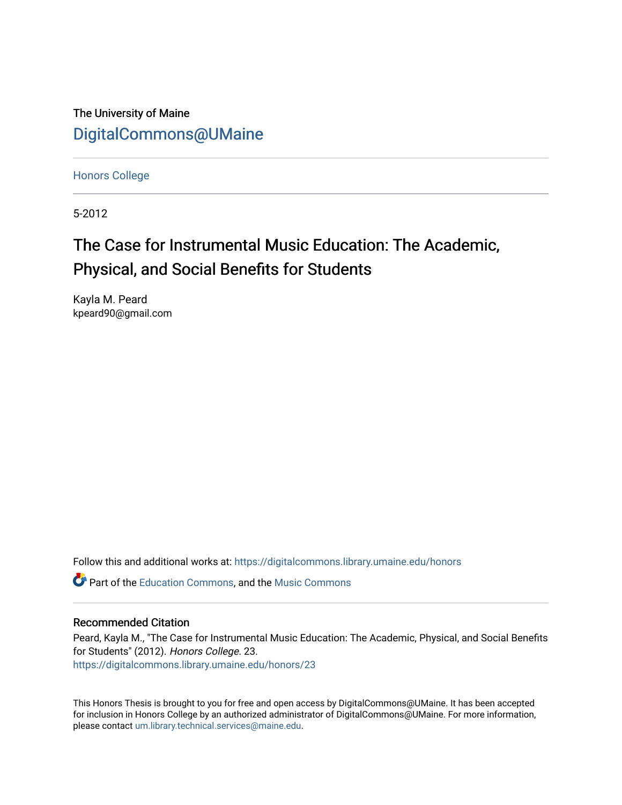The University of Maine [DigitalCommons@UMaine](https://digitalcommons.library.umaine.edu/)

[Honors College](https://digitalcommons.library.umaine.edu/honors)

5-2012

# The Case for Instrumental Music Education: The Academic, Physical, and Social Benefits for Students

Kayla M. Peard kpeard90@gmail.com

Follow this and additional works at: [https://digitalcommons.library.umaine.edu/honors](https://digitalcommons.library.umaine.edu/honors?utm_source=digitalcommons.library.umaine.edu%2Fhonors%2F23&utm_medium=PDF&utm_campaign=PDFCoverPages) 

**P** Part of the [Education Commons](http://network.bepress.com/hgg/discipline/784?utm_source=digitalcommons.library.umaine.edu%2Fhonors%2F23&utm_medium=PDF&utm_campaign=PDFCoverPages), and the Music Commons

#### Recommended Citation

Peard, Kayla M., "The Case for Instrumental Music Education: The Academic, Physical, and Social Benefits for Students" (2012). Honors College. 23. [https://digitalcommons.library.umaine.edu/honors/23](https://digitalcommons.library.umaine.edu/honors/23?utm_source=digitalcommons.library.umaine.edu%2Fhonors%2F23&utm_medium=PDF&utm_campaign=PDFCoverPages) 

This Honors Thesis is brought to you for free and open access by DigitalCommons@UMaine. It has been accepted for inclusion in Honors College by an authorized administrator of DigitalCommons@UMaine. For more information, please contact [um.library.technical.services@maine.edu.](mailto:um.library.technical.services@maine.edu)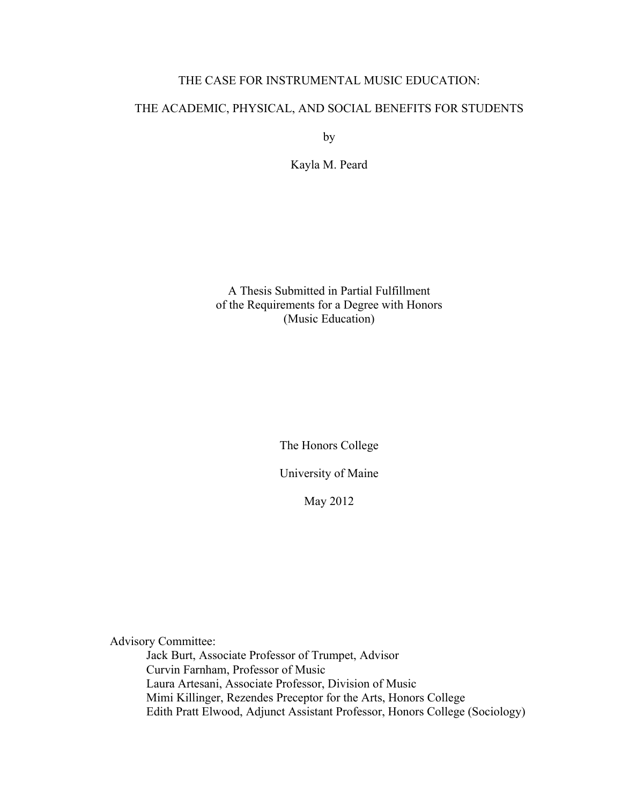## THE CASE FOR INSTRUMENTAL MUSIC EDUCATION:

## THE ACADEMIC, PHYSICAL, AND SOCIAL BENEFITS FOR STUDENTS

by

Kayla M. Peard

A Thesis Submitted in Partial Fulfillment of the Requirements for a Degree with Honors (Music Education)

The Honors College

University of Maine

May 2012

Advisory Committee: Jack Burt, Associate Professor of Trumpet, Advisor Curvin Farnham, Professor of Music Laura Artesani, Associate Professor, Division of Music Mimi Killinger, Rezendes Preceptor for the Arts, Honors College Edith Pratt Elwood, Adjunct Assistant Professor, Honors College (Sociology)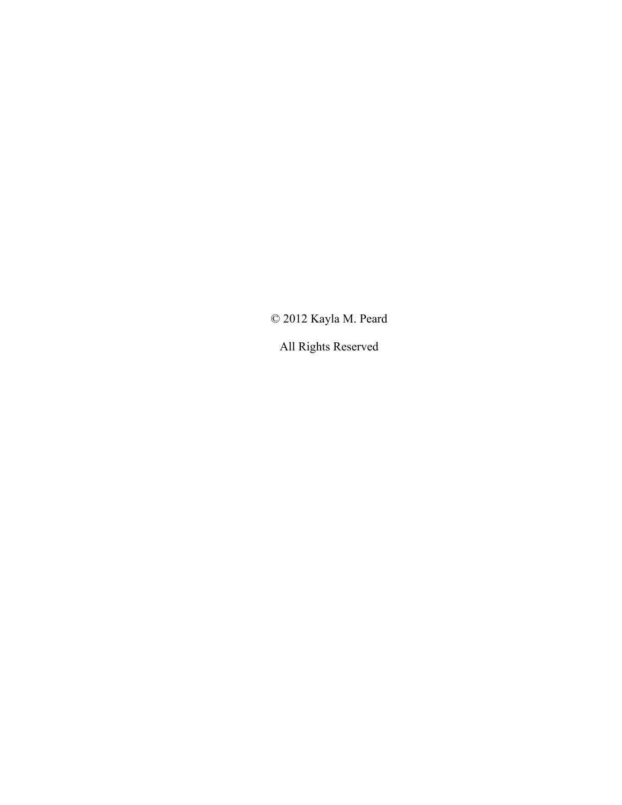© 2012 Kayla M. Peard

All Rights Reserved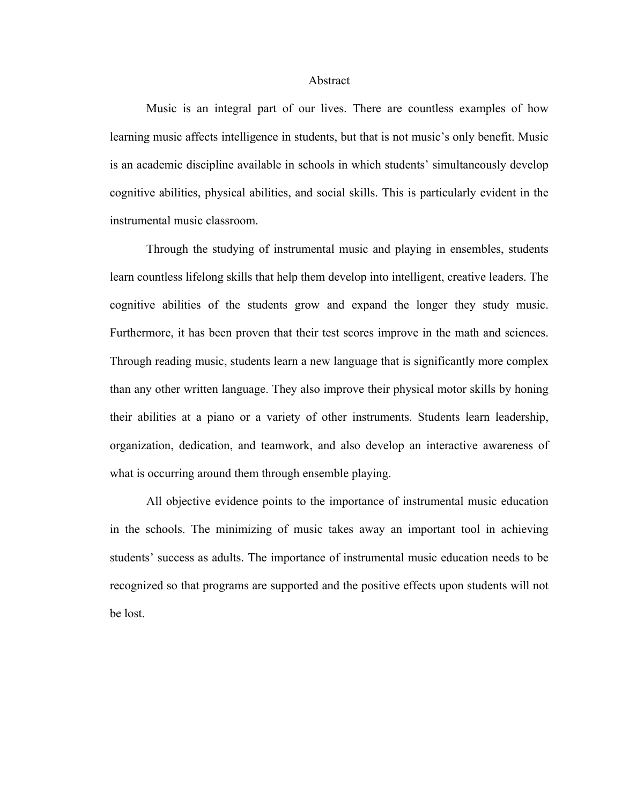#### Abstract

Music is an integral part of our lives. There are countless examples of how learning music affects intelligence in students, but that is not music's only benefit. Music is an academic discipline available in schools in which students' simultaneously develop cognitive abilities, physical abilities, and social skills. This is particularly evident in the instrumental music classroom.

Through the studying of instrumental music and playing in ensembles, students learn countless lifelong skills that help them develop into intelligent, creative leaders. The cognitive abilities of the students grow and expand the longer they study music. Furthermore, it has been proven that their test scores improve in the math and sciences. Through reading music, students learn a new language that is significantly more complex than any other written language. They also improve their physical motor skills by honing their abilities at a piano or a variety of other instruments. Students learn leadership, organization, dedication, and teamwork, and also develop an interactive awareness of what is occurring around them through ensemble playing.

All objective evidence points to the importance of instrumental music education in the schools. The minimizing of music takes away an important tool in achieving students' success as adults. The importance of instrumental music education needs to be recognized so that programs are supported and the positive effects upon students will not be lost.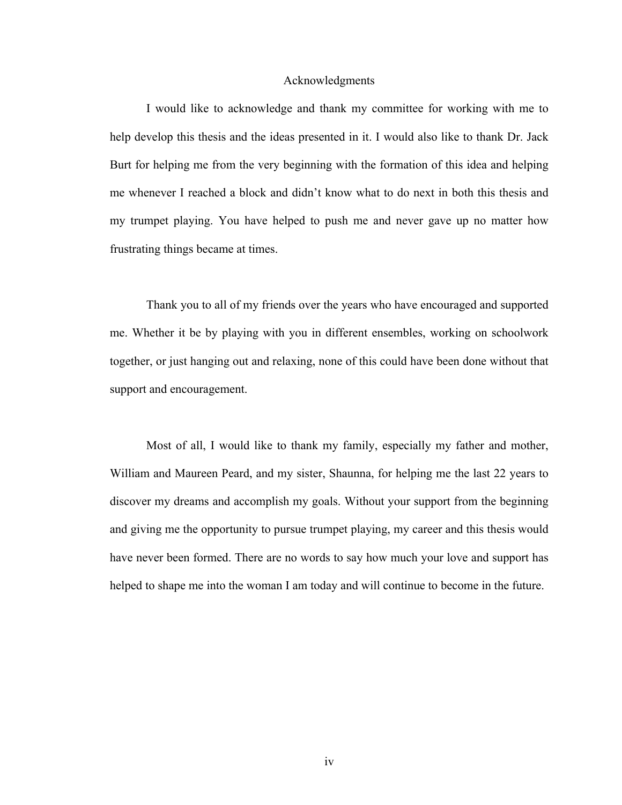#### Acknowledgments

I would like to acknowledge and thank my committee for working with me to help develop this thesis and the ideas presented in it. I would also like to thank Dr. Jack Burt for helping me from the very beginning with the formation of this idea and helping me whenever I reached a block and didn't know what to do next in both this thesis and my trumpet playing. You have helped to push me and never gave up no matter how frustrating things became at times.

Thank you to all of my friends over the years who have encouraged and supported me. Whether it be by playing with you in different ensembles, working on schoolwork together, or just hanging out and relaxing, none of this could have been done without that support and encouragement.

Most of all, I would like to thank my family, especially my father and mother, William and Maureen Peard, and my sister, Shaunna, for helping me the last 22 years to discover my dreams and accomplish my goals. Without your support from the beginning and giving me the opportunity to pursue trumpet playing, my career and this thesis would have never been formed. There are no words to say how much your love and support has helped to shape me into the woman I am today and will continue to become in the future.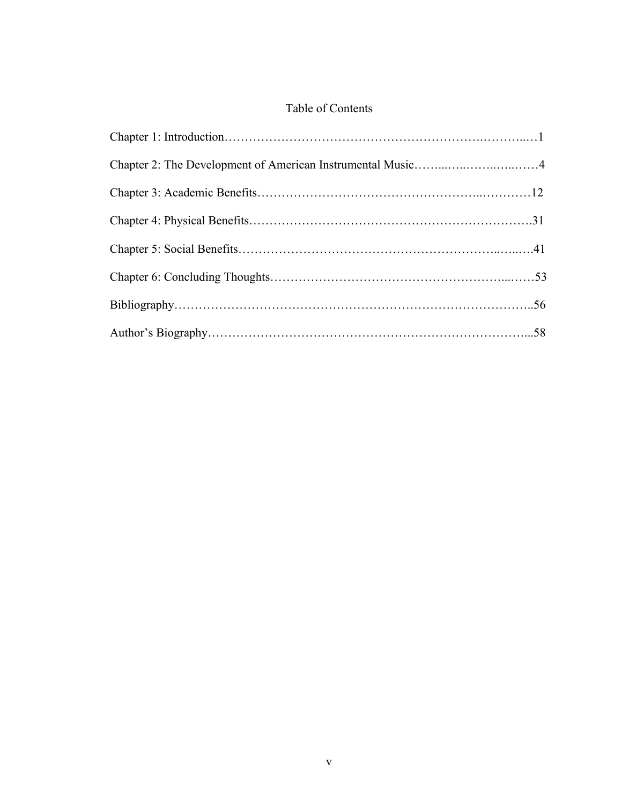# Table of Contents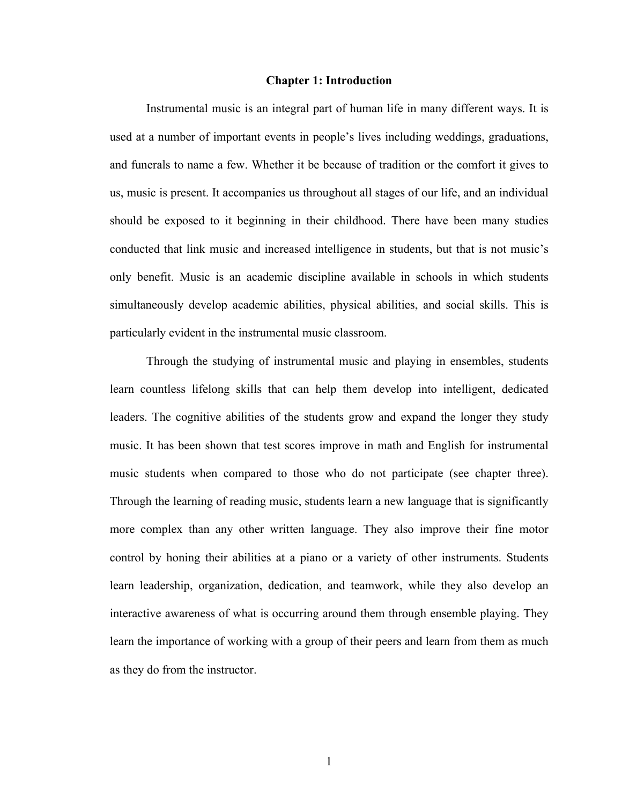#### **Chapter 1: Introduction**

Instrumental music is an integral part of human life in many different ways. It is used at a number of important events in people's lives including weddings, graduations, and funerals to name a few. Whether it be because of tradition or the comfort it gives to us, music is present. It accompanies us throughout all stages of our life, and an individual should be exposed to it beginning in their childhood. There have been many studies conducted that link music and increased intelligence in students, but that is not music's only benefit. Music is an academic discipline available in schools in which students simultaneously develop academic abilities, physical abilities, and social skills. This is particularly evident in the instrumental music classroom.

Through the studying of instrumental music and playing in ensembles, students learn countless lifelong skills that can help them develop into intelligent, dedicated leaders. The cognitive abilities of the students grow and expand the longer they study music. It has been shown that test scores improve in math and English for instrumental music students when compared to those who do not participate (see chapter three). Through the learning of reading music, students learn a new language that is significantly more complex than any other written language. They also improve their fine motor control by honing their abilities at a piano or a variety of other instruments. Students learn leadership, organization, dedication, and teamwork, while they also develop an interactive awareness of what is occurring around them through ensemble playing. They learn the importance of working with a group of their peers and learn from them as much as they do from the instructor.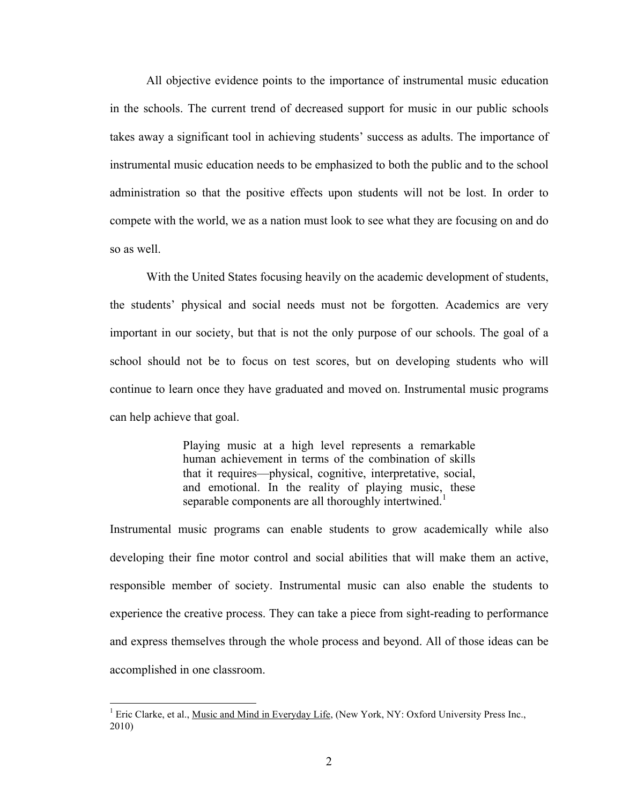All objective evidence points to the importance of instrumental music education in the schools. The current trend of decreased support for music in our public schools takes away a significant tool in achieving students' success as adults. The importance of instrumental music education needs to be emphasized to both the public and to the school administration so that the positive effects upon students will not be lost. In order to compete with the world, we as a nation must look to see what they are focusing on and do so as well.

With the United States focusing heavily on the academic development of students, the students' physical and social needs must not be forgotten. Academics are very important in our society, but that is not the only purpose of our schools. The goal of a school should not be to focus on test scores, but on developing students who will continue to learn once they have graduated and moved on. Instrumental music programs can help achieve that goal.

> Playing music at a high level represents a remarkable human achievement in terms of the combination of skills that it requires—physical, cognitive, interpretative, social, and emotional. In the reality of playing music, these separable components are all thoroughly intertwined.<sup>1</sup>

Instrumental music programs can enable students to grow academically while also developing their fine motor control and social abilities that will make them an active, responsible member of society. Instrumental music can also enable the students to experience the creative process. They can take a piece from sight-reading to performance and express themselves through the whole process and beyond. All of those ideas can be accomplished in one classroom.

<sup>&</sup>lt;sup>1</sup> Eric Clarke, et al., <u>Music and Mind in Everyday Life</u>, (New York, NY: Oxford University Press Inc., 2010)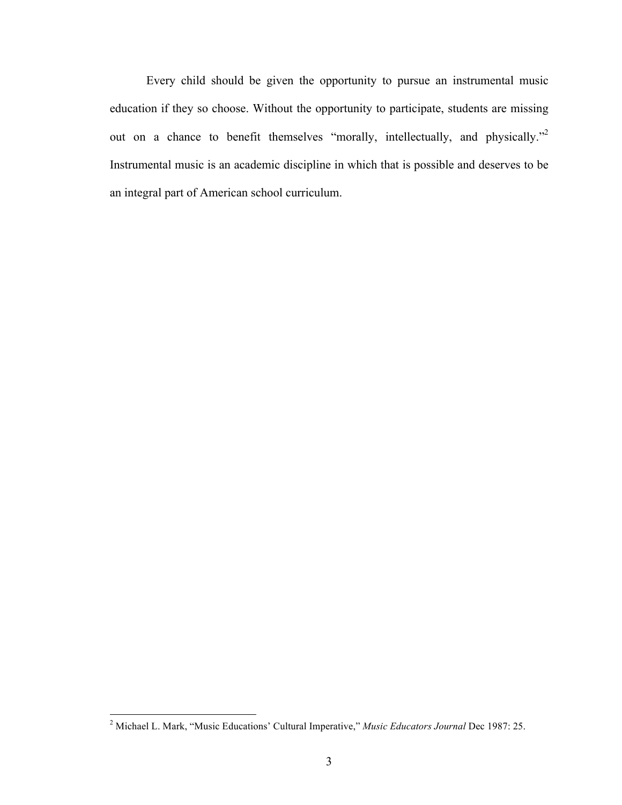Every child should be given the opportunity to pursue an instrumental music education if they so choose. Without the opportunity to participate, students are missing out on a chance to benefit themselves "morally, intellectually, and physically."<sup>2</sup> Instrumental music is an academic discipline in which that is possible and deserves to be an integral part of American school curriculum.

and a Michael L. Mark, "Music Educations' Cultural Imperative," *Music Educators Journal* Dec 1987: 25.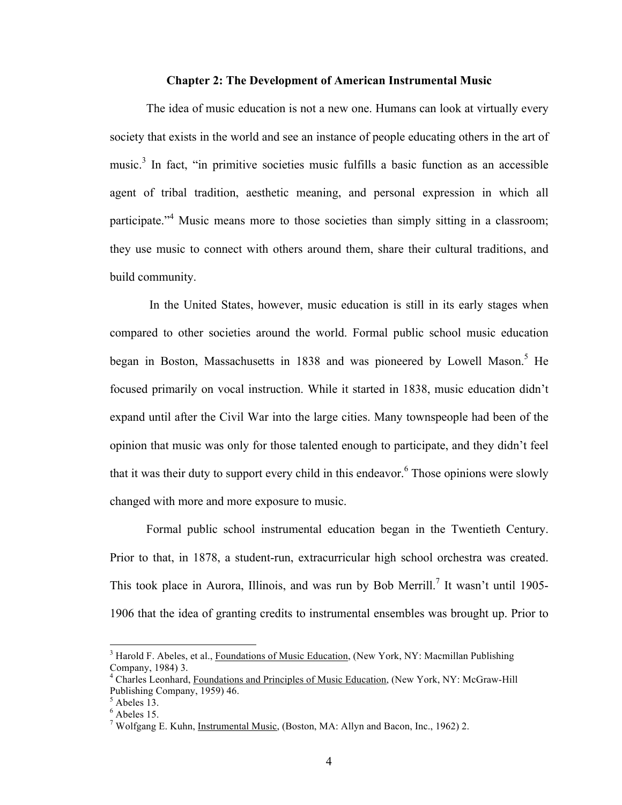#### **Chapter 2: The Development of American Instrumental Music**

The idea of music education is not a new one. Humans can look at virtually every society that exists in the world and see an instance of people educating others in the art of music.<sup>3</sup> In fact, "in primitive societies music fulfills a basic function as an accessible agent of tribal tradition, aesthetic meaning, and personal expression in which all participate."<sup>4</sup> Music means more to those societies than simply sitting in a classroom; they use music to connect with others around them, share their cultural traditions, and build community.

 In the United States, however, music education is still in its early stages when compared to other societies around the world. Formal public school music education began in Boston, Massachusetts in 1838 and was pioneered by Lowell Mason.<sup>5</sup> He focused primarily on vocal instruction. While it started in 1838, music education didn't expand until after the Civil War into the large cities. Many townspeople had been of the opinion that music was only for those talented enough to participate, and they didn't feel that it was their duty to support every child in this endeavor.<sup>6</sup> Those opinions were slowly changed with more and more exposure to music.

Formal public school instrumental education began in the Twentieth Century. Prior to that, in 1878, a student-run, extracurricular high school orchestra was created. This took place in Aurora, Illinois, and was run by Bob Merrill.<sup>7</sup> It wasn't until 1905-1906 that the idea of granting credits to instrumental ensembles was brought up. Prior to

<sup>&</sup>lt;sup>3</sup> Harold F. Abeles, et al., Foundations of Music Education, (New York, NY: Macmillan Publishing Company, 1984) 3.

<sup>4</sup> Charles Leonhard, Foundations and Principles of Music Education, (New York, NY: McGraw-Hill Publishing Company, 1959) 46.

 $<sup>5</sup>$  Abeles 13.</sup>

 $<sup>6</sup>$  Abeles 15.</sup>

<sup>&</sup>lt;sup>7</sup> Wolfgang E. Kuhn, Instrumental Music, (Boston, MA: Allyn and Bacon, Inc., 1962) 2.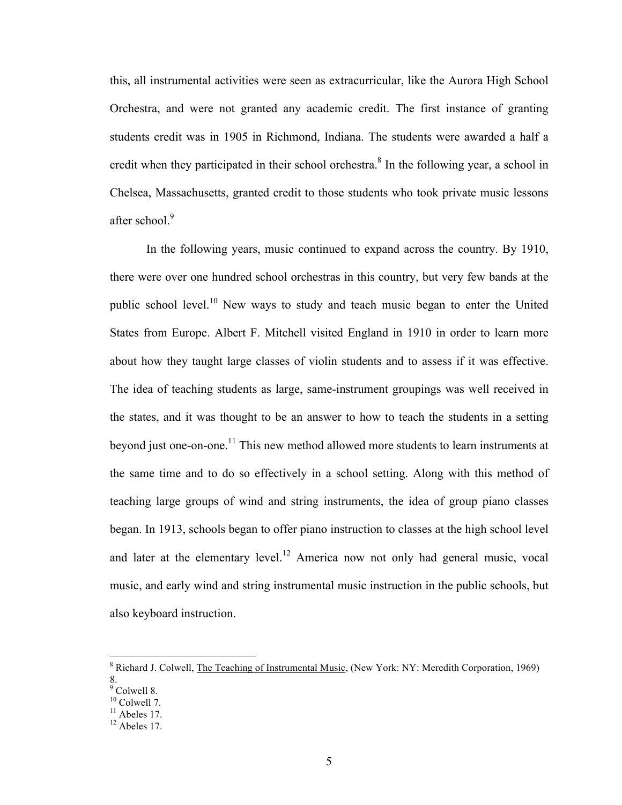this, all instrumental activities were seen as extracurricular, like the Aurora High School Orchestra, and were not granted any academic credit. The first instance of granting students credit was in 1905 in Richmond, Indiana. The students were awarded a half a credit when they participated in their school orchestra.<sup>8</sup> In the following year, a school in Chelsea, Massachusetts, granted credit to those students who took private music lessons after school.<sup>9</sup>

In the following years, music continued to expand across the country. By 1910, there were over one hundred school orchestras in this country, but very few bands at the public school level.<sup>10</sup> New ways to study and teach music began to enter the United States from Europe. Albert F. Mitchell visited England in 1910 in order to learn more about how they taught large classes of violin students and to assess if it was effective. The idea of teaching students as large, same-instrument groupings was well received in the states, and it was thought to be an answer to how to teach the students in a setting beyond just one-on-one.<sup>11</sup> This new method allowed more students to learn instruments at the same time and to do so effectively in a school setting. Along with this method of teaching large groups of wind and string instruments, the idea of group piano classes began. In 1913, schools began to offer piano instruction to classes at the high school level and later at the elementary level.<sup>12</sup> America now not only had general music, vocal music, and early wind and string instrumental music instruction in the public schools, but also keyboard instruction.

<sup>&</sup>lt;sup>8</sup> Richard J. Colwell, The Teaching of Instrumental Music, (New York: NY: Meredith Corporation, 1969) 8.<br><sup>9</sup> Colwell 8.

 $10$  Colwell 7.

 $11$  Abeles 17.

 $12$  Abeles 17.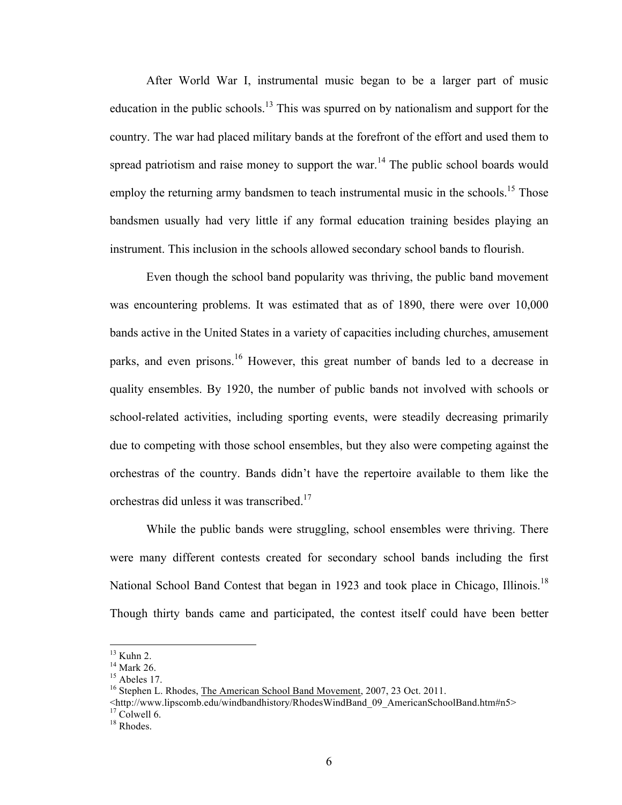After World War I, instrumental music began to be a larger part of music education in the public schools.13 This was spurred on by nationalism and support for the country. The war had placed military bands at the forefront of the effort and used them to spread patriotism and raise money to support the war.<sup>14</sup> The public school boards would employ the returning army bandsmen to teach instrumental music in the schools.<sup>15</sup> Those bandsmen usually had very little if any formal education training besides playing an instrument. This inclusion in the schools allowed secondary school bands to flourish.

Even though the school band popularity was thriving, the public band movement was encountering problems. It was estimated that as of 1890, there were over 10,000 bands active in the United States in a variety of capacities including churches, amusement parks, and even prisons.<sup>16</sup> However, this great number of bands led to a decrease in quality ensembles. By 1920, the number of public bands not involved with schools or school-related activities, including sporting events, were steadily decreasing primarily due to competing with those school ensembles, but they also were competing against the orchestras of the country. Bands didn't have the repertoire available to them like the orchestras did unless it was transcribed.<sup>17</sup>

While the public bands were struggling, school ensembles were thriving. There were many different contests created for secondary school bands including the first National School Band Contest that began in 1923 and took place in Chicago, Illinois.<sup>18</sup> Though thirty bands came and participated, the contest itself could have been better

 $13$  Kuhn 2.

 $14$  Mark 26.

 $15$  Abeles 17.

<sup>&</sup>lt;sup>16</sup> Stephen L. Rhodes, The American School Band Movement, 2007, 23 Oct. 2011.

<sup>&</sup>lt;http://www.lipscomb.edu/windbandhistory/RhodesWindBand\_09\_AmericanSchoolBand.htm#n5> 17 Colwell 6.

<sup>&</sup>lt;sup>18</sup> Rhodes.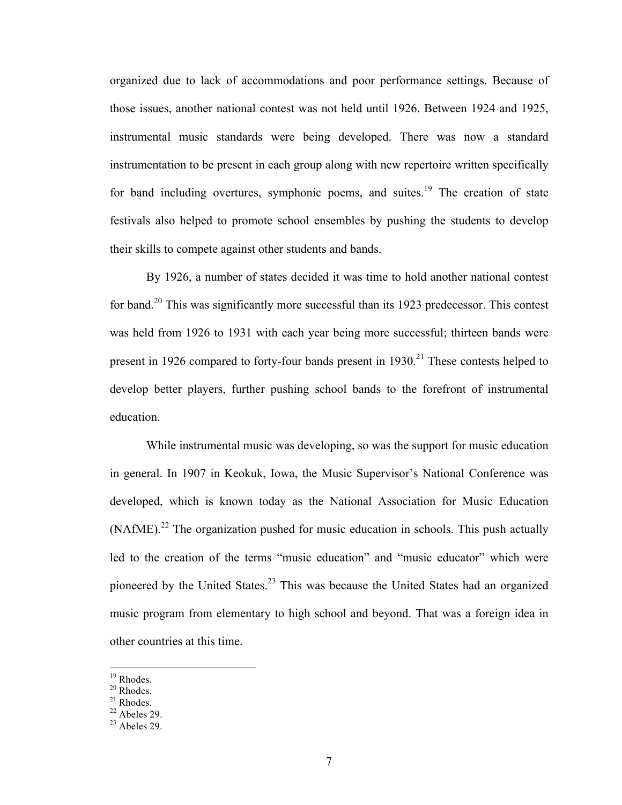organized due to lack of accommodations and poor performance settings. Because of those issues, another national contest was not held until 1926. Between 1924 and 1925, instrumental music standards were being developed. There was now a standard instrumentation to be present in each group along with new repertoire written specifically for band including overtures, symphonic poems, and suites.<sup>19</sup> The creation of state festivals also helped to promote school ensembles by pushing the students to develop their skills to compete against other students and bands.

By 1926, a number of states decided it was time to hold another national contest for band.<sup>20</sup> This was significantly more successful than its 1923 predecessor. This contest was held from 1926 to 1931 with each year being more successful; thirteen bands were present in 1926 compared to forty-four bands present in  $1930$ <sup>21</sup>. These contests helped to develop better players, further pushing school bands to the forefront of instrumental education.

While instrumental music was developing, so was the support for music education in general. In 1907 in Keokuk, Iowa, the Music Supervisor's National Conference was developed, which is known today as the National Association for Music Education  $(NA fME)<sup>22</sup>$  The organization pushed for music education in schools. This push actually led to the creation of the terms "music education" and "music educator" which were pioneered by the United States.<sup>23</sup> This was because the United States had an organized music program from elementary to high school and beyond. That was a foreign idea in other countries at this time.

 $19$  Rhodes.

<sup>&</sup>lt;sup>20</sup> Rhodes.

<sup>21</sup> Rhodes.

 $22$  Abeles 29.

 $23$  Abeles 29.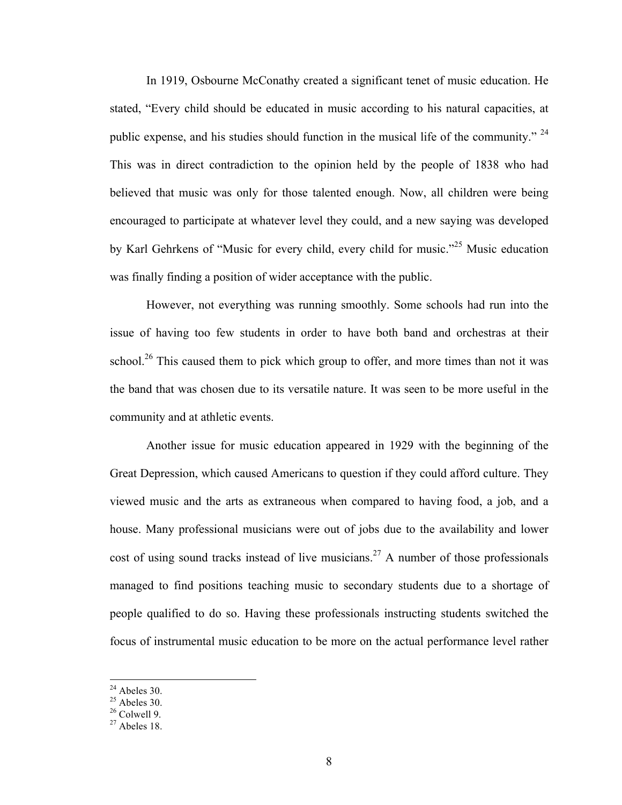In 1919, Osbourne McConathy created a significant tenet of music education. He stated, "Every child should be educated in music according to his natural capacities, at public expense, and his studies should function in the musical life of the community."  $24$ This was in direct contradiction to the opinion held by the people of 1838 who had believed that music was only for those talented enough. Now, all children were being encouraged to participate at whatever level they could, and a new saying was developed by Karl Gehrkens of "Music for every child, every child for music."25 Music education was finally finding a position of wider acceptance with the public.

However, not everything was running smoothly. Some schools had run into the issue of having too few students in order to have both band and orchestras at their school.<sup>26</sup> This caused them to pick which group to offer, and more times than not it was the band that was chosen due to its versatile nature. It was seen to be more useful in the community and at athletic events.

Another issue for music education appeared in 1929 with the beginning of the Great Depression, which caused Americans to question if they could afford culture. They viewed music and the arts as extraneous when compared to having food, a job, and a house. Many professional musicians were out of jobs due to the availability and lower cost of using sound tracks instead of live musicians.<sup>27</sup> A number of those professionals managed to find positions teaching music to secondary students due to a shortage of people qualified to do so. Having these professionals instructing students switched the focus of instrumental music education to be more on the actual performance level rather

 $24$  Abeles 30.

 $^{25}$  Abeles 30.

 $26$  Colwell 9.

 $27$  Abeles 18.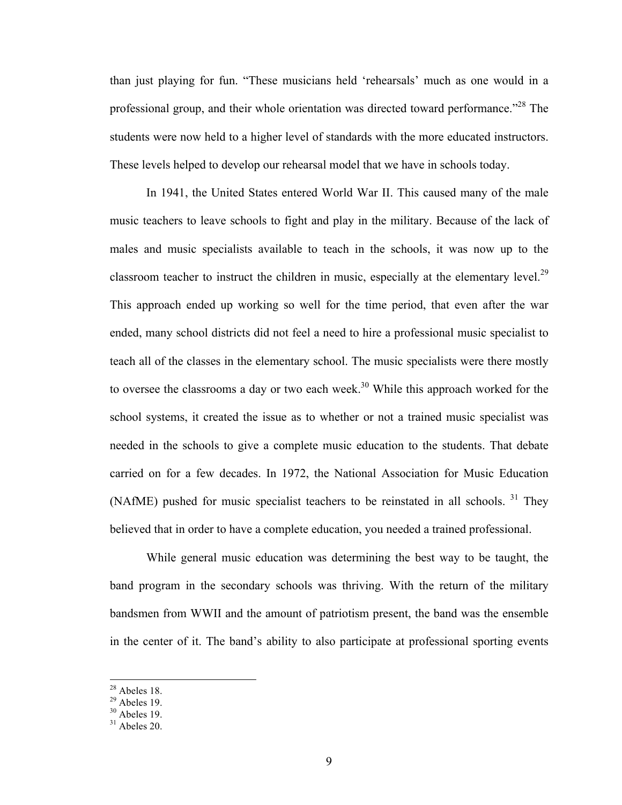than just playing for fun. "These musicians held 'rehearsals' much as one would in a professional group, and their whole orientation was directed toward performance."<sup>28</sup> The students were now held to a higher level of standards with the more educated instructors. These levels helped to develop our rehearsal model that we have in schools today.

In 1941, the United States entered World War II. This caused many of the male music teachers to leave schools to fight and play in the military. Because of the lack of males and music specialists available to teach in the schools, it was now up to the classroom teacher to instruct the children in music, especially at the elementary level.<sup>29</sup> This approach ended up working so well for the time period, that even after the war ended, many school districts did not feel a need to hire a professional music specialist to teach all of the classes in the elementary school. The music specialists were there mostly to oversee the classrooms a day or two each week.<sup>30</sup> While this approach worked for the school systems, it created the issue as to whether or not a trained music specialist was needed in the schools to give a complete music education to the students. That debate carried on for a few decades. In 1972, the National Association for Music Education (NAfME) pushed for music specialist teachers to be reinstated in all schools.  $31$  They believed that in order to have a complete education, you needed a trained professional.

While general music education was determining the best way to be taught, the band program in the secondary schools was thriving. With the return of the military bandsmen from WWII and the amount of patriotism present, the band was the ensemble in the center of it. The band's ability to also participate at professional sporting events

 $28$  Abeles 18.

 $^{29}$  Abeles 19.

 $30$  Abeles 19.

 $31$  Abeles 20.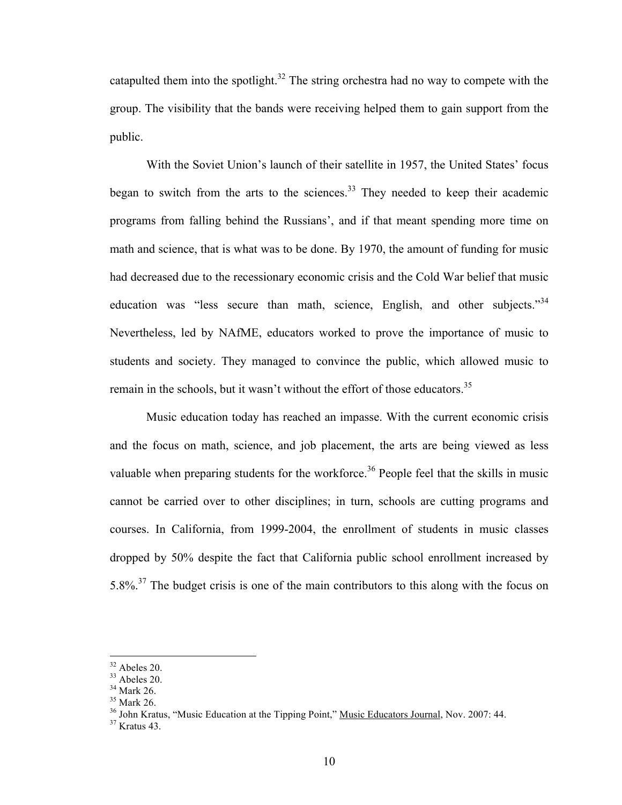catapulted them into the spotlight. $32$  The string orchestra had no way to compete with the group. The visibility that the bands were receiving helped them to gain support from the public.

With the Soviet Union's launch of their satellite in 1957, the United States' focus began to switch from the arts to the sciences.<sup>33</sup> They needed to keep their academic programs from falling behind the Russians', and if that meant spending more time on math and science, that is what was to be done. By 1970, the amount of funding for music had decreased due to the recessionary economic crisis and the Cold War belief that music education was "less secure than math, science, English, and other subjects."<sup>34</sup> Nevertheless, led by NAfME, educators worked to prove the importance of music to students and society. They managed to convince the public, which allowed music to remain in the schools, but it wasn't without the effort of those educators.<sup>35</sup>

Music education today has reached an impasse. With the current economic crisis and the focus on math, science, and job placement, the arts are being viewed as less valuable when preparing students for the workforce.<sup>36</sup> People feel that the skills in music cannot be carried over to other disciplines; in turn, schools are cutting programs and courses. In California, from 1999-2004, the enrollment of students in music classes dropped by 50% despite the fact that California public school enrollment increased by 5.8%.<sup>37</sup> The budget crisis is one of the main contributors to this along with the focus on

 $32$  Abeles 20.

 $33$  Abeles 20.

<sup>34</sup> Mark 26.

<sup>35</sup> Mark 26.

<sup>&</sup>lt;sup>36</sup> John Kratus, "Music Education at the Tipping Point," <u>Music Educators Journal</u>, Nov. 2007: 44.<br><sup>37</sup> Kratus 43.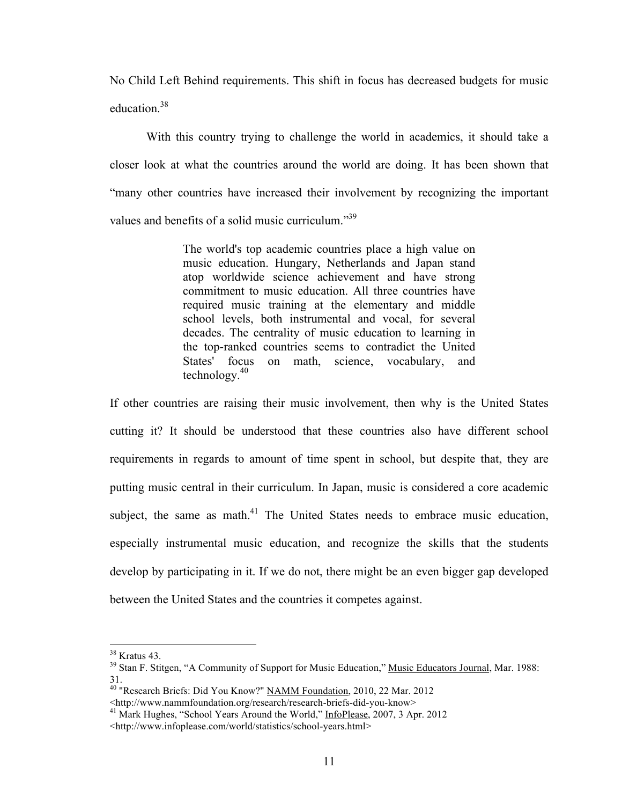No Child Left Behind requirements. This shift in focus has decreased budgets for music education.<sup>38</sup>

With this country trying to challenge the world in academics, it should take a closer look at what the countries around the world are doing. It has been shown that "many other countries have increased their involvement by recognizing the important values and benefits of a solid music curriculum."<sup>39</sup>

> The world's top academic countries place a high value on music education. Hungary, Netherlands and Japan stand atop worldwide science achievement and have strong commitment to music education. All three countries have required music training at the elementary and middle school levels, both instrumental and vocal, for several decades. The centrality of music education to learning in the top-ranked countries seems to contradict the United States' focus on math, science, vocabulary, and technology.<sup>40</sup>

If other countries are raising their music involvement, then why is the United States cutting it? It should be understood that these countries also have different school requirements in regards to amount of time spent in school, but despite that, they are putting music central in their curriculum. In Japan, music is considered a core academic subject, the same as math.<sup>41</sup> The United States needs to embrace music education, especially instrumental music education, and recognize the skills that the students develop by participating in it. If we do not, there might be an even bigger gap developed between the United States and the countries it competes against.

<sup>38</sup> Kratus 43.

<sup>&</sup>lt;sup>39</sup> Stan F. Stitgen, "A Community of Support for Music Education," Music Educators Journal, Mar. 1988: 31.

<sup>&</sup>lt;sup>40</sup> "Research Briefs: Did You Know?" NAMM Foundation, 2010, 22 Mar. 2012

<sup>&</sup>lt;http://www.nammfoundation.org/research/research-briefs-did-you-know> 41 Mark Hughes, "School Years Around the World," InfoPlease, 2007, 3 Apr. 2012

<sup>&</sup>lt;http://www.infoplease.com/world/statistics/school-years.html>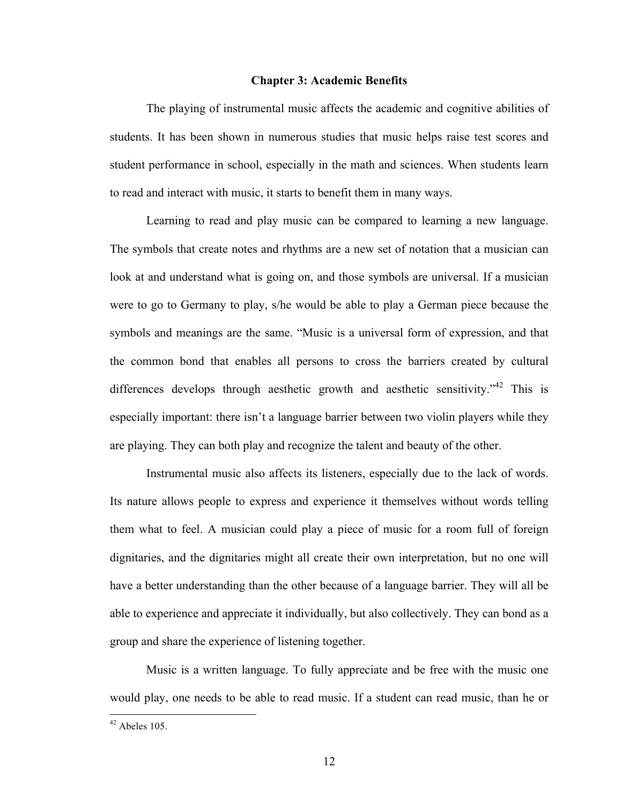#### **Chapter 3: Academic Benefits**

The playing of instrumental music affects the academic and cognitive abilities of students. It has been shown in numerous studies that music helps raise test scores and student performance in school, especially in the math and sciences. When students learn to read and interact with music, it starts to benefit them in many ways.

Learning to read and play music can be compared to learning a new language. The symbols that create notes and rhythms are a new set of notation that a musician can look at and understand what is going on, and those symbols are universal. If a musician were to go to Germany to play, s/he would be able to play a German piece because the symbols and meanings are the same. "Music is a universal form of expression, and that the common bond that enables all persons to cross the barriers created by cultural differences develops through aesthetic growth and aesthetic sensitivity."<sup>42</sup> This is especially important: there isn't a language barrier between two violin players while they are playing. They can both play and recognize the talent and beauty of the other.

Instrumental music also affects its listeners, especially due to the lack of words. Its nature allows people to express and experience it themselves without words telling them what to feel. A musician could play a piece of music for a room full of foreign dignitaries, and the dignitaries might all create their own interpretation, but no one will have a better understanding than the other because of a language barrier. They will all be able to experience and appreciate it individually, but also collectively. They can bond as a group and share the experience of listening together.

Music is a written language. To fully appreciate and be free with the music one would play, one needs to be able to read music. If a student can read music, than he or

 $42$  Abeles 105.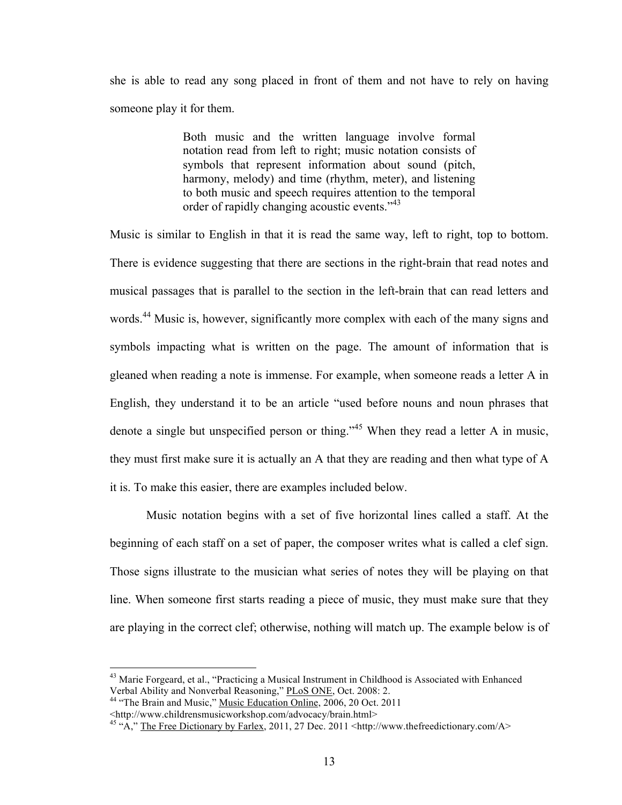she is able to read any song placed in front of them and not have to rely on having someone play it for them.

> Both music and the written language involve formal notation read from left to right; music notation consists of symbols that represent information about sound (pitch, harmony, melody) and time (rhythm, meter), and listening to both music and speech requires attention to the temporal order of rapidly changing acoustic events."<sup>43</sup>

Music is similar to English in that it is read the same way, left to right, top to bottom. There is evidence suggesting that there are sections in the right-brain that read notes and musical passages that is parallel to the section in the left-brain that can read letters and words.<sup>44</sup> Music is, however, significantly more complex with each of the many signs and symbols impacting what is written on the page. The amount of information that is gleaned when reading a note is immense. For example, when someone reads a letter A in English, they understand it to be an article "used before nouns and noun phrases that denote a single but unspecified person or thing."45 When they read a letter A in music, they must first make sure it is actually an A that they are reading and then what type of A it is. To make this easier, there are examples included below.

Music notation begins with a set of five horizontal lines called a staff. At the beginning of each staff on a set of paper, the composer writes what is called a clef sign. Those signs illustrate to the musician what series of notes they will be playing on that line. When someone first starts reading a piece of music, they must make sure that they are playing in the correct clef; otherwise, nothing will match up. The example below is of

<sup>&</sup>lt;sup>43</sup> Marie Forgeard, et al., "Practicing a Musical Instrument in Childhood is Associated with Enhanced Verbal Ability and Nonverbal Reasoning," PLoS ONE, Oct. 2008: 2. 44 "The Brain and Music," Music Education Online, 2006, 20 Oct. 2011

<sup>&</sup>lt;http://www.childrensmusicworkshop.com/advocacy/brain.html>

<sup>&</sup>lt;sup>45</sup> "A," The Free Dictionary by Farlex, 2011, 27 Dec. 2011 <http://www.thefreedictionary.com/A>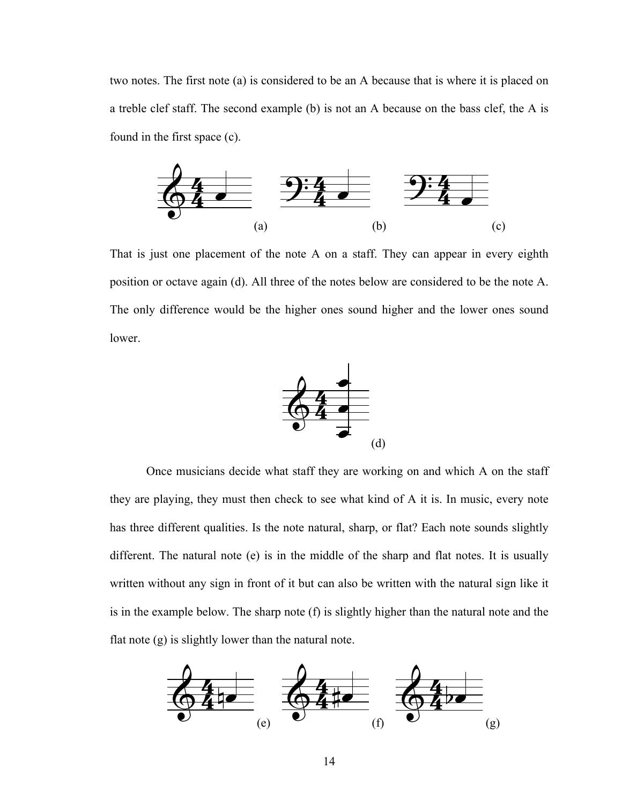two notes. The first note (a) is considered to be an A because that is where it is placed on a treble clef staff. The second example (b) is not an A because on the bass clef, the A is found in the first space (c).



That is just one placement of the note A on a staff. They can appear in every eighth position or octave again (d). All three of the notes below are considered to be the note A.<br>The only difference would be the higher ones sound higher and the lower ones sound position or octave again (a). All three of the notes below are considered to be the note A.<br>The only difference would be the higher ones sound higher and the lower ones sound lower. siti<br>^  $\frac{1}{2}$ position or octave again (d). All three of the notes below are considered to be the note A.<br>The only difference would be the higher ones sound higher and the lower ones sound position or octave again (d). All three of the notes below are considered to be the note A.



Once musicians decide what staff they are working on and which A on the staff they are playing, they must then check to see what kind of A it is. In music, every note has three different qualities. Is the note natural, sharp, or flat? Each note sounds slightly different. The natural note (e) is in the middle of the sharp and flat notes. It is usually written without any sign in front of it but can also be written with the natural sign like it<br>is in the ground below. The change acts (b) is dishbirthan then the natural natural the is in the example below. The sharp note  $(f)$  is slightly higher than the natural note and the flat note (g) is slightly lower than the natural note. Once musicians decide what staff they are working on and which A on the staff<br>by are playing, they must then check to see what kind of A it is. In music, every note Once musicians decide what staff they are working on and which A on the staff they are playing, they must then check to see what kind of A it is. In music, every note ch A on the staff<br>nusic, every note They are massenars decide what start they are working on and w  $\mathbf{i}$ written without any sign in front of it but can also be written with the<br>is in the example below. The sharp note (f) is slightly higher than the written with าเท<br>.va ter ter<br>.er tten without any sign in front of it but can also be written with the natural sign like it<br>is the example below. The sharp note (f) is slightly higher than the natural note and the  $\sin$ 3n<br>... nat nat<br>''' written without any sign in front of it but can also be written with the natural sign like it<br>is in the example below. The sharp note (f) is slightly higher than the natural note and the  $\cdot$  it  $\frac{1}{10}$ ike ike it<br>d the written without any sign in front of it but can also be written with the natural sign like it<br>is in the example below. The sharp note (f) is slightly higher than the natural note and the <sup>5</sup> ?

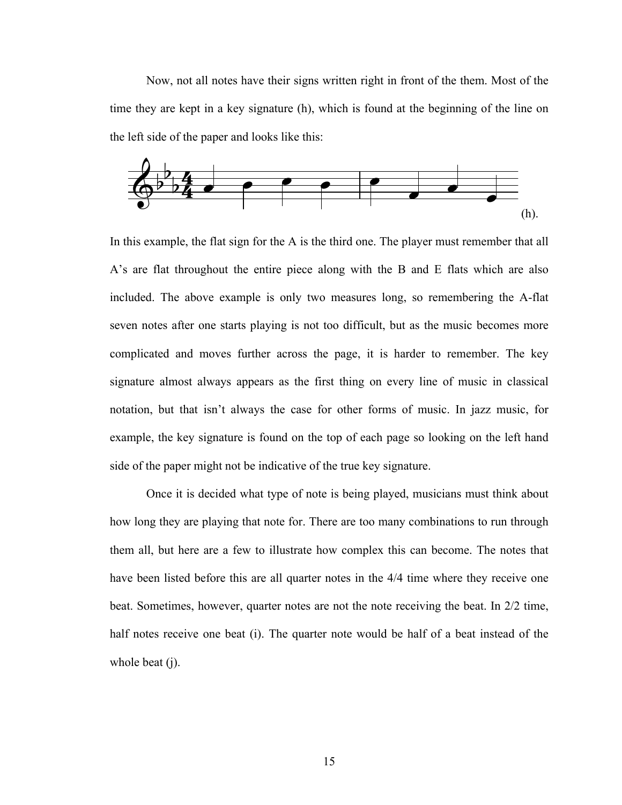Now, not all notes have their signs written right in front of the them. Most of the they are kept in a key signature (b) which is found at the beginning of the line on time they are kept in a key signature (h), which is found at the beginning of the line on the left side of the paper and looks like this:



In this example, the flat sign for the A is the third one. The player must remember that all A's are flat throughout the entire piece along with the B and E flats which are also included. The above example is only two measures long, so remembering the A-flat seven notes after one starts playing is not too difficult, but as the music becomes more complicated and moves further across the page, it is harder to remember. The key signature almost always appears as the first thing on every line of music in classical notation, but that isn't always the case for other forms of music. In jazz music, for example, the key signature is found on the top of each page so looking on the left hand side of the paper might not be indicative of the true key signature. lat<br>-- $\int$ are flat throughout the entire piece along with the B and E flats which are also which are also

Once it is decided what type of note is being played, musicians must think about how long they are playing that note for. There are too many combinations to run through them all, but here are a few to illustrate how complex this can become. The notes that have been listed before this are all quarter notes in the 4/4 time where they receive one beat. Sometimes, however, quarter notes are not the note receiving the beat. In 2/2 time, half notes receive one beat (i). The quarter note would be half of a beat instead of the whole beat (j).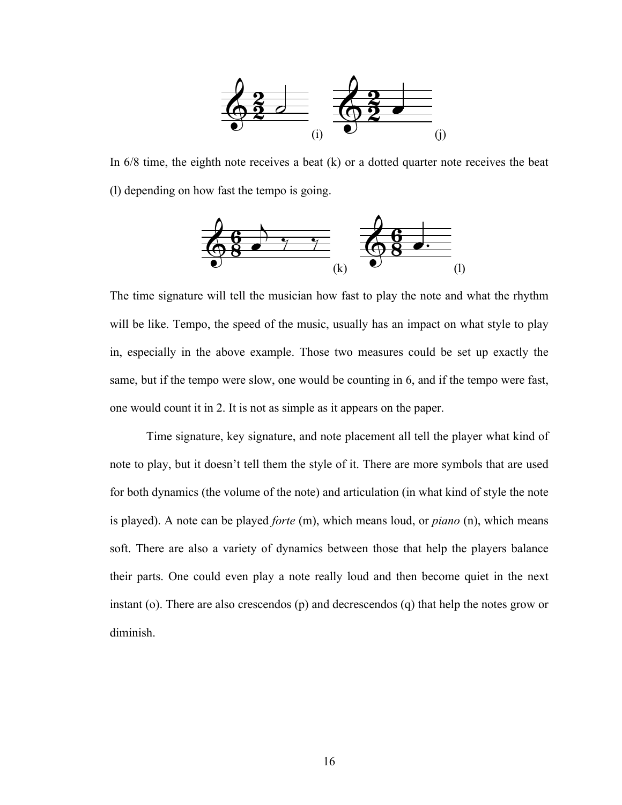

In 6/8 time, the eighth note receives a beat (k) or a dotted quarter note receives the beat (l) depending on how fast the tempo is going. (l) depending on how fast the tempo is going (1) depending on how fast the tempo is going. ec In 6/8 time, the eighth note receives a beat (k) or a dotted quarter note receives the beat  $k$ ) or a dotted quarter note receives the beat In  $6/8$  time, the eighth note receives a beat (k) or a dotted quarter note receives the bea



The time signature will tell the musician how fast to play the note and what the rhythm will be like. Tempo, the speed of the music, usually has an impact on what style to play in, especially in the above example. Those two measures could be set up exactly the same, but if the tempo were slow, one would be counting in 6, and if the tempo were fast, one would count it in 2. It is not as simple as it appears on the paper.

Time signature, key signature, and note placement all tell the player what kind of note to play, but it doesn't tell them the style of it. There are more symbols that are used for both dynamics (the volume of the note) and articulation (in what kind of style the note is played). A note can be played *forte* (m), which means loud, or *piano* (n), which means soft. There are also a variety of dynamics between those that help the players balance their parts. One could even play a note really loud and then become quiet in the next instant (o). There are also crescendos (p) and decrescendos (q) that help the notes grow or diminish.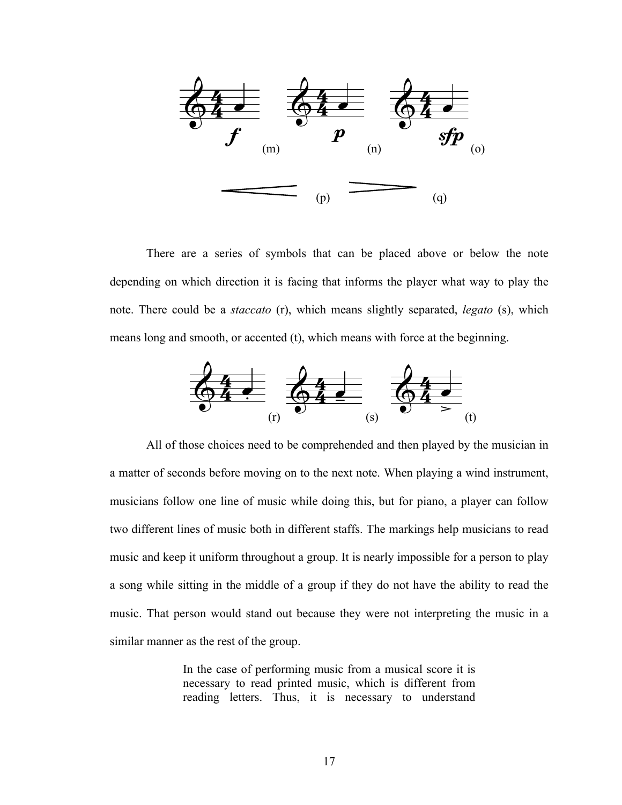

There are a series of symbols that can be placed above or below the note depending on which direction it is facing that informs the player what way to play the note. There could be a *staccato* (r), which means slightly separated, *legato* (s), which means long and smooth, or accented (t), which means with force at the beginning.



All of those choices need to be comprehended and then played by the musician in *5* a matter of seconds before moving on to the next note. When playing a wind instrument, musicians follow one line of music while doing this, but for piano, a player can follow two different lines of music both in different staffs. The markings help musicians to read music and keep it uniform throughout a group. It is nearly impossible for a person to play a song while sitting in the middle of a group if they do not have the ability to read the music. That person would stand out because they were not interpreting the music in a similar manner as the rest of the group. a matter of seconds before moving on to the next note. When playing a wind instrument, a matter of seconds before moving on to the next note. When playing a wind instrument,

> In the case of performing music from a musical score it is necessary to read printed music, which is different from reading letters. Thus, it is necessary to understand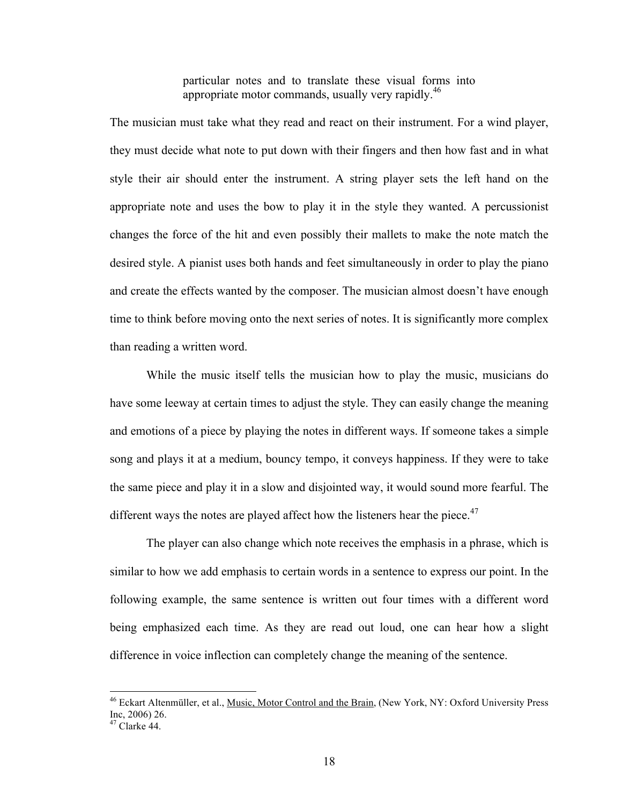particular notes and to translate these visual forms into appropriate motor commands, usually very rapidly.<sup>46</sup>

The musician must take what they read and react on their instrument. For a wind player, they must decide what note to put down with their fingers and then how fast and in what style their air should enter the instrument. A string player sets the left hand on the appropriate note and uses the bow to play it in the style they wanted. A percussionist changes the force of the hit and even possibly their mallets to make the note match the desired style. A pianist uses both hands and feet simultaneously in order to play the piano and create the effects wanted by the composer. The musician almost doesn't have enough time to think before moving onto the next series of notes. It is significantly more complex than reading a written word.

While the music itself tells the musician how to play the music, musicians do have some leeway at certain times to adjust the style. They can easily change the meaning and emotions of a piece by playing the notes in different ways. If someone takes a simple song and plays it at a medium, bouncy tempo, it conveys happiness. If they were to take the same piece and play it in a slow and disjointed way, it would sound more fearful. The different ways the notes are played affect how the listeners hear the piece.<sup>47</sup>

The player can also change which note receives the emphasis in a phrase, which is similar to how we add emphasis to certain words in a sentence to express our point. In the following example, the same sentence is written out four times with a different word being emphasized each time. As they are read out loud, one can hear how a slight difference in voice inflection can completely change the meaning of the sentence.

<sup>&</sup>lt;sup>46</sup> Eckart Altenmüller, et al., Music, Motor Control and the Brain, (New York, NY: Oxford University Press Inc, 2006) 26.

 $47$  Clarke 44.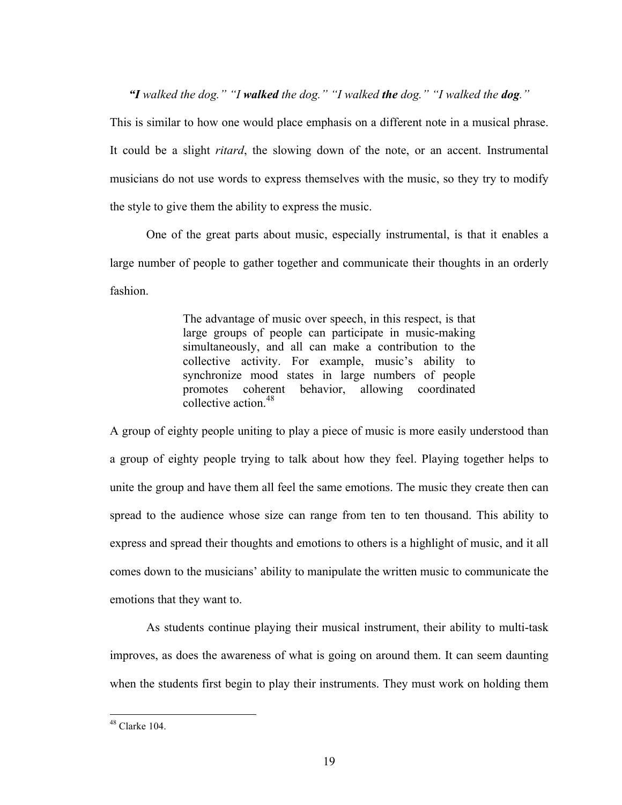*"I walked the dog." "I walked the dog." "I walked the dog." "I walked the dog."*

This is similar to how one would place emphasis on a different note in a musical phrase. It could be a slight *ritard*, the slowing down of the note, or an accent. Instrumental musicians do not use words to express themselves with the music, so they try to modify the style to give them the ability to express the music.

One of the great parts about music, especially instrumental, is that it enables a large number of people to gather together and communicate their thoughts in an orderly fashion.

> The advantage of music over speech, in this respect, is that large groups of people can participate in music-making simultaneously, and all can make a contribution to the collective activity. For example, music's ability to synchronize mood states in large numbers of people promotes coherent behavior, allowing coordinated collective action  $48$

A group of eighty people uniting to play a piece of music is more easily understood than a group of eighty people trying to talk about how they feel. Playing together helps to unite the group and have them all feel the same emotions. The music they create then can spread to the audience whose size can range from ten to ten thousand. This ability to express and spread their thoughts and emotions to others is a highlight of music, and it all comes down to the musicians' ability to manipulate the written music to communicate the emotions that they want to.

As students continue playing their musical instrument, their ability to multi-task improves, as does the awareness of what is going on around them. It can seem daunting when the students first begin to play their instruments. They must work on holding them

 $148$  Clarke 104.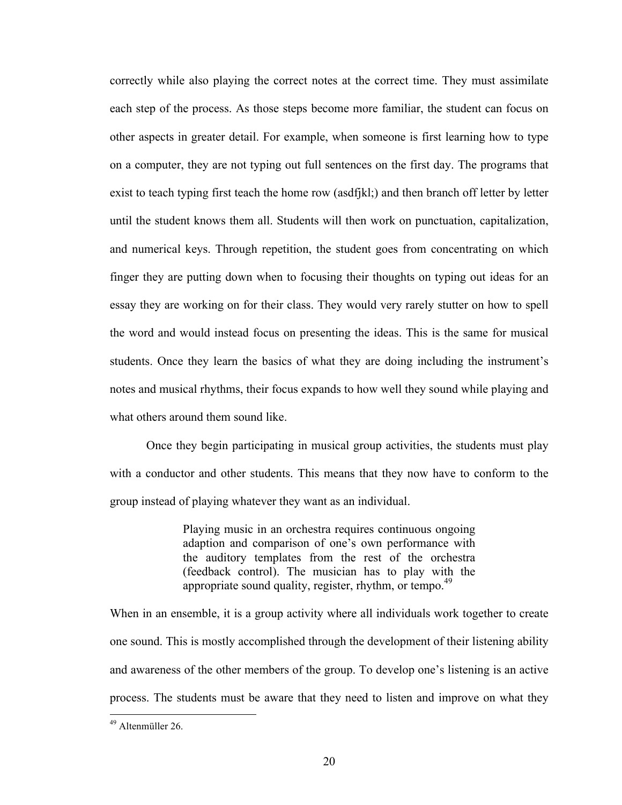correctly while also playing the correct notes at the correct time. They must assimilate each step of the process. As those steps become more familiar, the student can focus on other aspects in greater detail. For example, when someone is first learning how to type on a computer, they are not typing out full sentences on the first day. The programs that exist to teach typing first teach the home row (asdfjkl;) and then branch off letter by letter until the student knows them all. Students will then work on punctuation, capitalization, and numerical keys. Through repetition, the student goes from concentrating on which finger they are putting down when to focusing their thoughts on typing out ideas for an essay they are working on for their class. They would very rarely stutter on how to spell the word and would instead focus on presenting the ideas. This is the same for musical students. Once they learn the basics of what they are doing including the instrument's notes and musical rhythms, their focus expands to how well they sound while playing and what others around them sound like.

Once they begin participating in musical group activities, the students must play with a conductor and other students. This means that they now have to conform to the group instead of playing whatever they want as an individual.

> Playing music in an orchestra requires continuous ongoing adaption and comparison of one's own performance with the auditory templates from the rest of the orchestra (feedback control). The musician has to play with the appropriate sound quality, register, rhythm, or tempo. $49$

When in an ensemble, it is a group activity where all individuals work together to create one sound. This is mostly accomplished through the development of their listening ability and awareness of the other members of the group. To develop one's listening is an active process. The students must be aware that they need to listen and improve on what they

<sup>&</sup>lt;sup>49</sup> Altenmüller 26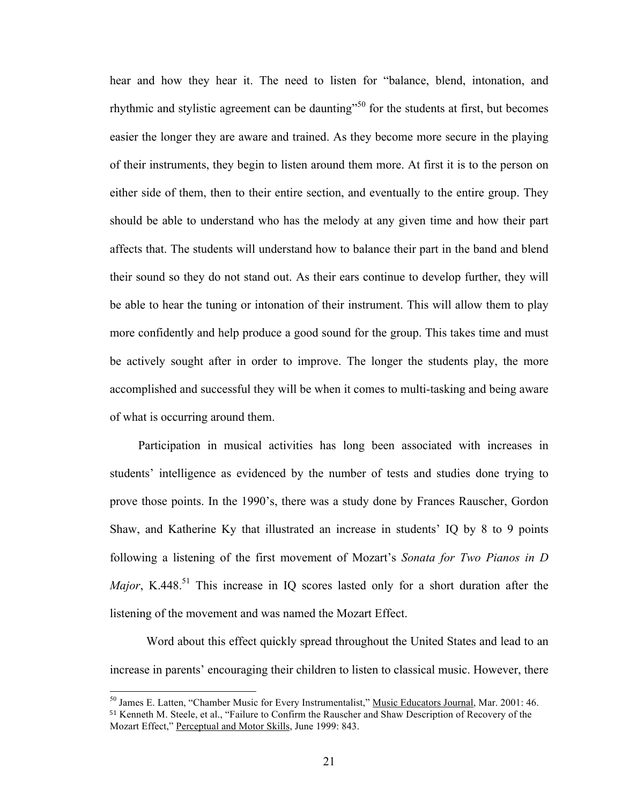hear and how they hear it. The need to listen for "balance, blend, intonation, and rhythmic and stylistic agreement can be daunting<sup>"50</sup> for the students at first, but becomes easier the longer they are aware and trained. As they become more secure in the playing of their instruments, they begin to listen around them more. At first it is to the person on either side of them, then to their entire section, and eventually to the entire group. They should be able to understand who has the melody at any given time and how their part affects that. The students will understand how to balance their part in the band and blend their sound so they do not stand out. As their ears continue to develop further, they will be able to hear the tuning or intonation of their instrument. This will allow them to play more confidently and help produce a good sound for the group. This takes time and must be actively sought after in order to improve. The longer the students play, the more accomplished and successful they will be when it comes to multi-tasking and being aware of what is occurring around them.

Participation in musical activities has long been associated with increases in students' intelligence as evidenced by the number of tests and studies done trying to prove those points. In the 1990's, there was a study done by Frances Rauscher, Gordon Shaw, and Katherine Ky that illustrated an increase in students' IQ by 8 to 9 points following a listening of the first movement of Mozart's *Sonata for Two Pianos in D Major*, K.448.<sup>51</sup> This increase in IQ scores lasted only for a short duration after the listening of the movement and was named the Mozart Effect.

Word about this effect quickly spread throughout the United States and lead to an increase in parents' encouraging their children to listen to classical music. However, there

<sup>&</sup>lt;sup>50</sup> James E. Latten, "Chamber Music for Every Instrumentalist," Music Educators Journal, Mar. 2001: 46. <sup>51</sup> Kenneth M. Steele, et al., "Failure to Confirm the Rauscher and Shaw Description of Recovery of the Mozart Effect," Perceptual and Motor Skills, June 1999: 843.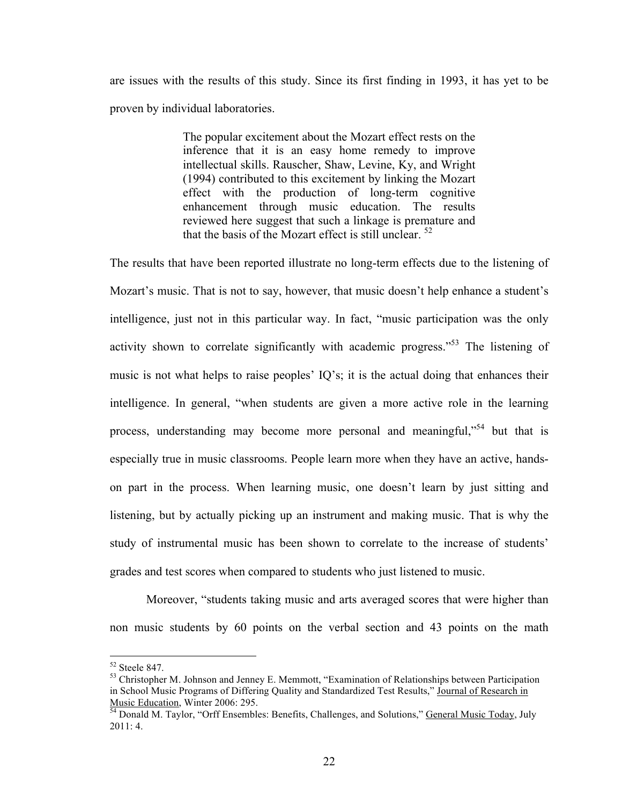are issues with the results of this study. Since its first finding in 1993, it has yet to be proven by individual laboratories.

> The popular excitement about the Mozart effect rests on the inference that it is an easy home remedy to improve intellectual skills. Rauscher, Shaw, Levine, Ky, and Wright (1994) contributed to this excitement by linking the Mozart effect with the production of long-term cognitive enhancement through music education. The results reviewed here suggest that such a linkage is premature and that the basis of the Mozart effect is still unclear. <sup>52</sup>

The results that have been reported illustrate no long-term effects due to the listening of Mozart's music. That is not to say, however, that music doesn't help enhance a student's intelligence, just not in this particular way. In fact, "music participation was the only activity shown to correlate significantly with academic progress.<sup>553</sup> The listening of music is not what helps to raise peoples' IQ's; it is the actual doing that enhances their intelligence. In general, "when students are given a more active role in the learning process, understanding may become more personal and meaningful,"<sup>54</sup> but that is especially true in music classrooms. People learn more when they have an active, handson part in the process. When learning music, one doesn't learn by just sitting and listening, but by actually picking up an instrument and making music. That is why the study of instrumental music has been shown to correlate to the increase of students' grades and test scores when compared to students who just listened to music.

Moreover, "students taking music and arts averaged scores that were higher than non music students by 60 points on the verbal section and 43 points on the math

 $52$  Steele 847.

<sup>&</sup>lt;sup>53</sup> Christopher M. Johnson and Jenney E. Memmott, "Examination of Relationships between Participation in School Music Programs of Differing Quality and Standardized Test Results," Journal of Research in Music Education, Winter 2006: 295.<br><sup>54</sup> Donald M. Taylor, "Orff Ensembles: Benefits, Challenges, and Solutions," <u>General Music Today</u>, July

<sup>2011: 4.</sup>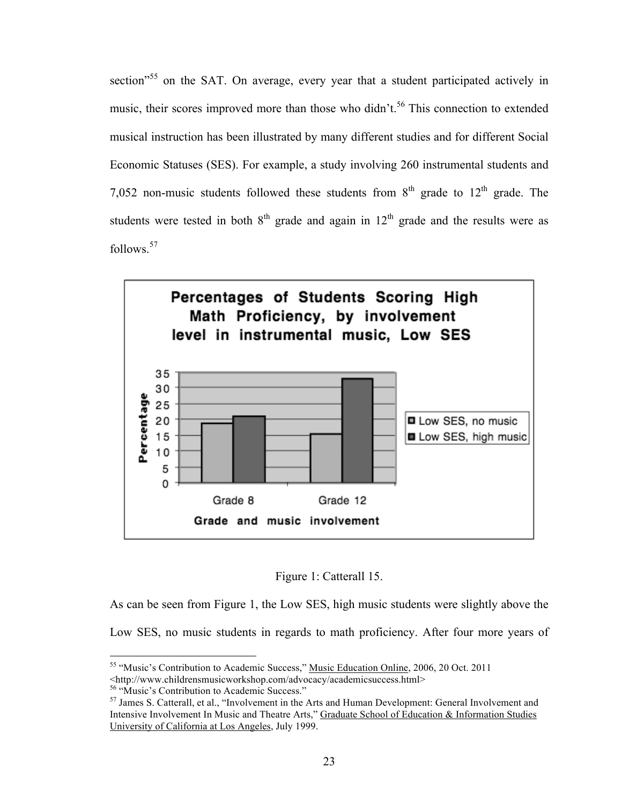section<sup>55</sup> on the SAT. On average, every year that a student participated actively in music, their scores improved more than those who didn't.<sup>56</sup> This connection to extended musical instruction has been illustrated by many different studies and for different Social Economic Statuses (SES). For example, a study involving 260 instrumental students and 7,052 non-music students followed these students from  $8<sup>th</sup>$  grade to  $12<sup>th</sup>$  grade. The students were tested in both  $8<sup>th</sup>$  grade and again in  $12<sup>th</sup>$  grade and the results were as follows.<sup>57</sup>





As can be seen from Figure 1, the Low SES, high music students were slightly above the Low SES, no music students in regards to math proficiency. After four more years of

<sup>&</sup>lt;sup>55</sup> "Music's Contribution to Academic Success," Music Education Online, 2006, 20 Oct. 2011

<sup>&</sup>lt;http://www.childrensmusicworkshop.com/advocacy/academicsuccess.html>

<sup>&</sup>lt;sup>56</sup> "Music's Contribution to Academic Success."

<sup>&</sup>lt;sup>57</sup> James S. Catterall, et al., "Involvement in the Arts and Human Development: General Involvement and Intensive Involvement In Music and Theatre Arts," Graduate School of Education & Information Studies University of California at Los Angeles, July 1999.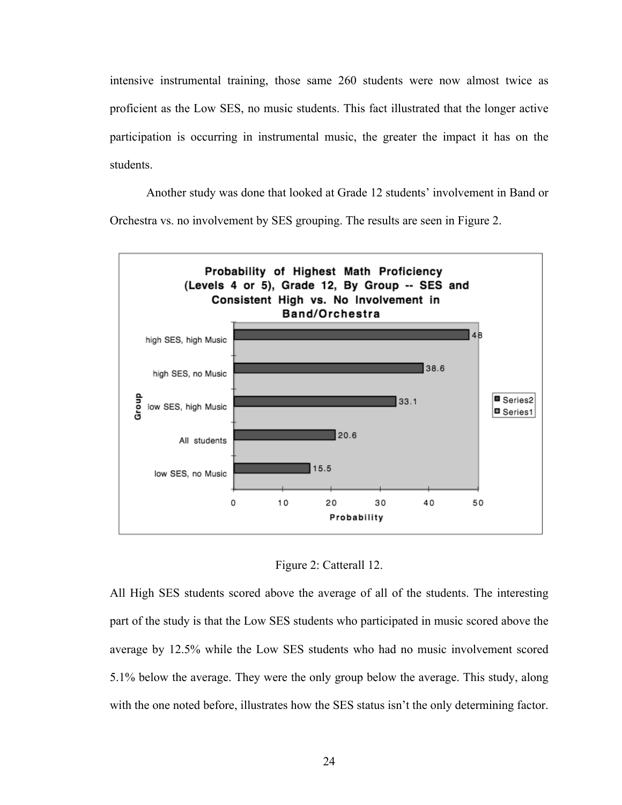intensive instrumental training, those same 260 students were now almost twice as proficient as the Low SES, no music students. This fact illustrated that the longer active participation is occurring in instrumental music, the greater the impact it has on the students.

Another study was done that looked at Grade 12 students' involvement in Band or Orchestra vs. no involvement by SES grouping. The results are seen in Figure 2.





All High SES students scored above the average of all of the students. The interesting part of the study is that the Low SES students who participated in music scored above the average by 12.5% while the Low SES students who had no music involvement scored 5.1% below the average. They were the only group below the average. This study, along with the one noted before, illustrates how the SES status isn't the only determining factor.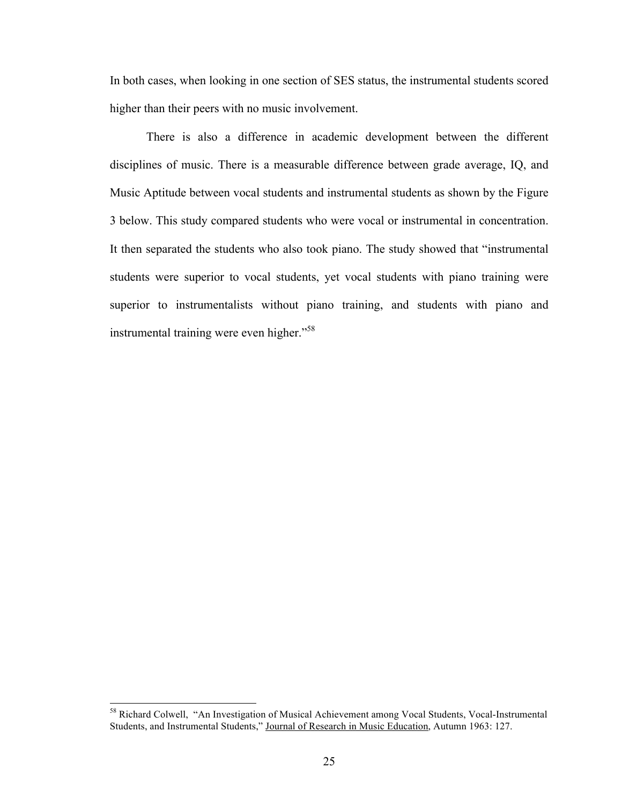In both cases, when looking in one section of SES status, the instrumental students scored higher than their peers with no music involvement.

There is also a difference in academic development between the different disciplines of music. There is a measurable difference between grade average, IQ, and Music Aptitude between vocal students and instrumental students as shown by the Figure 3 below. This study compared students who were vocal or instrumental in concentration. It then separated the students who also took piano. The study showed that "instrumental students were superior to vocal students, yet vocal students with piano training were superior to instrumentalists without piano training, and students with piano and instrumental training were even higher."<sup>58</sup>

<sup>&</sup>lt;sup>58</sup> Richard Colwell, "An Investigation of Musical Achievement among Vocal Students, Vocal-Instrumental Students, and Instrumental Students," Journal of Research in Music Education, Autumn 1963: 127.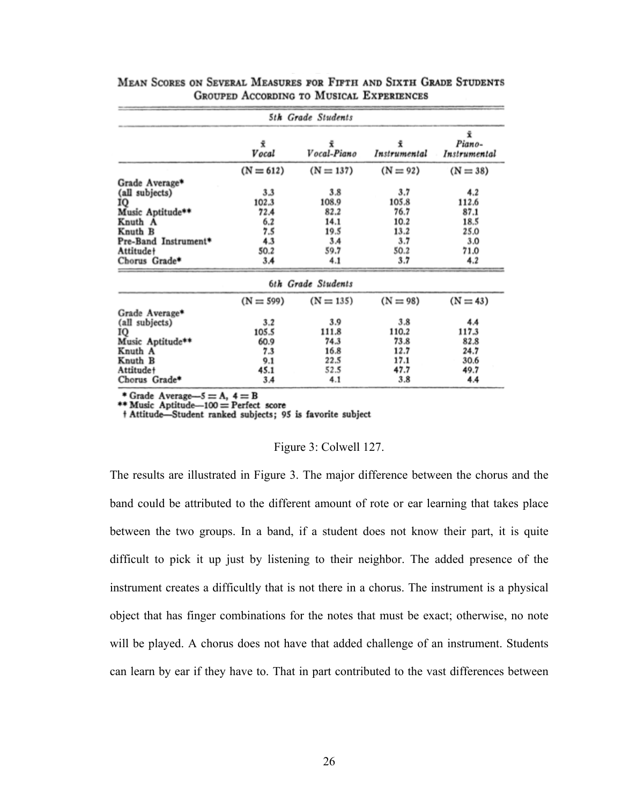|                      |             | 5th Grade Students |                   |                              |
|----------------------|-------------|--------------------|-------------------|------------------------------|
|                      | ÷.<br>Vocal | ÷.<br>Vocal-Piano  | Ĩ<br>Instrumental | Ÿ.<br>Piano-<br>Instrumental |
|                      | $(N = 612)$ | $(N = 137)$        | $(N = 92)$        | $(N = 38)$                   |
| Grade Average*       |             |                    |                   |                              |
| (all subjects)       | 3.3         | 3.8                | 3.7               | 4.2                          |
| IQ                   | 102.3       | 108.9              | 105.8             | 112.6                        |
| Music Aptitude**     | 72.4        | 82.2               | 76.7              | 87.1                         |
| Knuth A              | 6.2         | 14.1               | 10.2              | 18.5                         |
| Knuth B              | 7.5         | 19.5               | 13.2              | 25.0                         |
| Pre-Band Instrument* | 4.3         | 3A                 | 3.7               | 3.0                          |
| <b>Attitude+</b>     | 50.2        | 59.7               | 50.2              | 71.0                         |
| Chorus Grade*        | 3.4         | 4.1                | 3.7               | 4.2                          |
|                      |             | 6th Grade Students |                   |                              |
|                      | $(N = 599)$ | $(N = 135)$        | $(N = 98)$        | $(N = 43)$                   |
| Grade Average*       |             |                    |                   |                              |
| (all subjects)       | 3.2         | 3.9                | 3.8               | 4.4                          |
| 10                   | 105.5       | 111.8              | 110.2             | 117.3                        |
| Music Aptitude**     | 60.9        | 74.3               | 73.8              | 82.8                         |
| Knuth A              | 7.3         | 16.8               | 12.7              | 24.7                         |
| Knuth B              | 9.1         | 22.5               | 17.1              | 30.6                         |
| Attitude+            | 45.1        | 52.5               | 47.7              | 49.7                         |
| Chorus Grade*        | 3.4         | 4.1                | 3.8               | 4.4                          |

#### MEAN SCORES ON SEVERAL MEASURES FOR FIFTH AND SIXTH GRADE STUDENTS **GROUPED ACCORDING TO MUSICAL EXPERIENCES**

\* Grade Average- $5 = A$ ,  $4 = B$ <br>\*\* Music Aptitude--100 = Perfect score

† Attitude-Student ranked subjects; 95 is favorite subject

#### Figure 3: Colwell 127.

The results are illustrated in Figure 3. The major difference between the chorus and the band could be attributed to the different amount of rote or ear learning that takes place between the two groups. In a band, if a student does not know their part, it is quite difficult to pick it up just by listening to their neighbor. The added presence of the instrument creates a difficultly that is not there in a chorus. The instrument is a physical object that has finger combinations for the notes that must be exact; otherwise, no note will be played. A chorus does not have that added challenge of an instrument. Students can learn by ear if they have to. That in part contributed to the vast differences between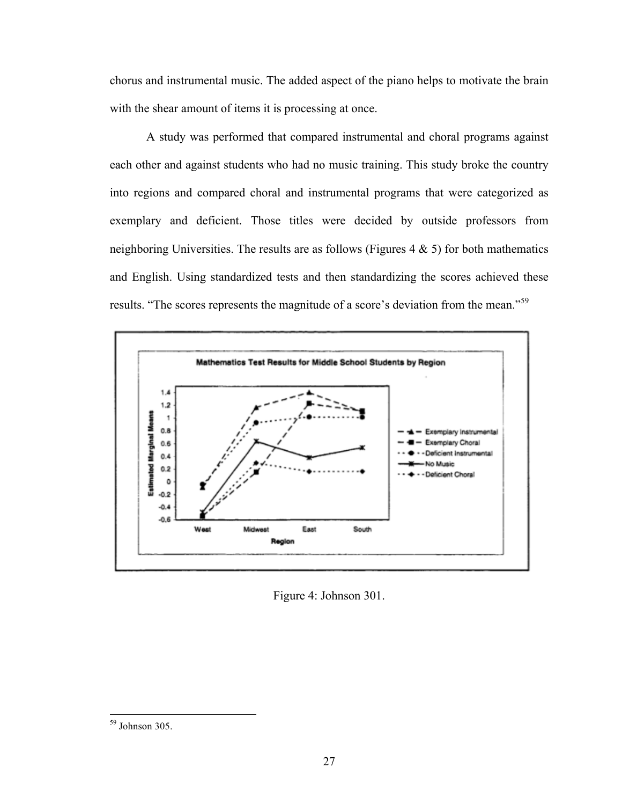chorus and instrumental music. The added aspect of the piano helps to motivate the brain with the shear amount of items it is processing at once.

A study was performed that compared instrumental and choral programs against each other and against students who had no music training. This study broke the country into regions and compared choral and instrumental programs that were categorized as exemplary and deficient. Those titles were decided by outside professors from neighboring Universities. The results are as follows (Figures  $4 \& 5$ ) for both mathematics and English. Using standardized tests and then standardizing the scores achieved these results. "The scores represents the magnitude of a score's deviation from the mean."<sup>59</sup>



Figure 4: Johnson 301.

<sup>&</sup>lt;sup>59</sup> Johnson 305.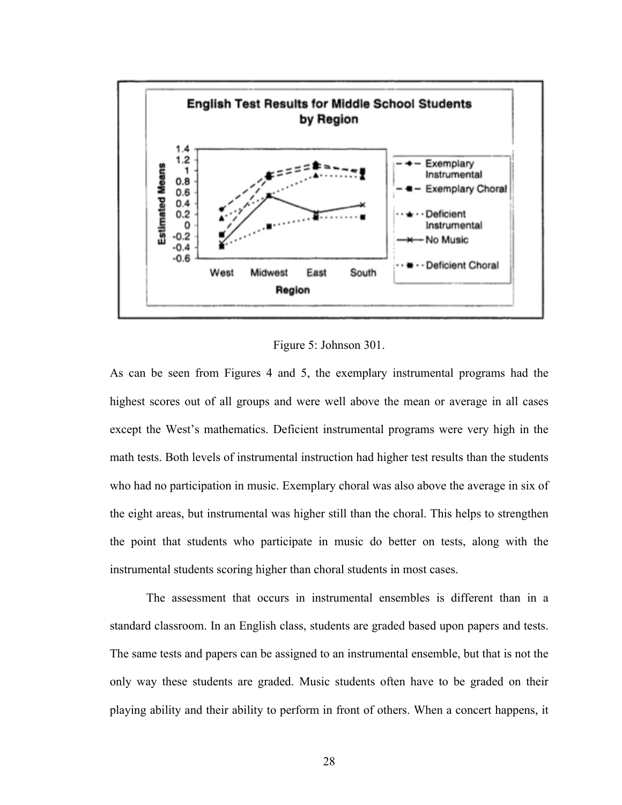

Figure 5: Johnson 301.

As can be seen from Figures 4 and 5, the exemplary instrumental programs had the highest scores out of all groups and were well above the mean or average in all cases except the West's mathematics. Deficient instrumental programs were very high in the math tests. Both levels of instrumental instruction had higher test results than the students who had no participation in music. Exemplary choral was also above the average in six of the eight areas, but instrumental was higher still than the choral. This helps to strengthen the point that students who participate in music do better on tests, along with the instrumental students scoring higher than choral students in most cases.

The assessment that occurs in instrumental ensembles is different than in a standard classroom. In an English class, students are graded based upon papers and tests. The same tests and papers can be assigned to an instrumental ensemble, but that is not the only way these students are graded. Music students often have to be graded on their playing ability and their ability to perform in front of others. When a concert happens, it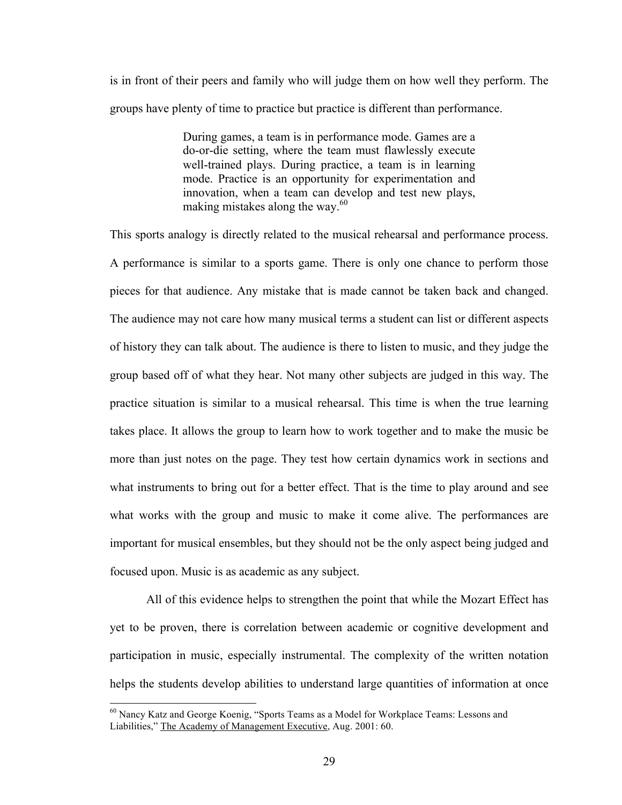is in front of their peers and family who will judge them on how well they perform. The groups have plenty of time to practice but practice is different than performance.

> During games, a team is in performance mode. Games are a do-or-die setting, where the team must flawlessly execute well-trained plays. During practice, a team is in learning mode. Practice is an opportunity for experimentation and innovation, when a team can develop and test new plays, making mistakes along the way.<sup>60</sup>

This sports analogy is directly related to the musical rehearsal and performance process. A performance is similar to a sports game. There is only one chance to perform those pieces for that audience. Any mistake that is made cannot be taken back and changed. The audience may not care how many musical terms a student can list or different aspects of history they can talk about. The audience is there to listen to music, and they judge the group based off of what they hear. Not many other subjects are judged in this way. The practice situation is similar to a musical rehearsal. This time is when the true learning takes place. It allows the group to learn how to work together and to make the music be more than just notes on the page. They test how certain dynamics work in sections and what instruments to bring out for a better effect. That is the time to play around and see what works with the group and music to make it come alive. The performances are important for musical ensembles, but they should not be the only aspect being judged and focused upon. Music is as academic as any subject.

All of this evidence helps to strengthen the point that while the Mozart Effect has yet to be proven, there is correlation between academic or cognitive development and participation in music, especially instrumental. The complexity of the written notation helps the students develop abilities to understand large quantities of information at once

<sup>&</sup>lt;sup>60</sup> Nancy Katz and George Koenig, "Sports Teams as a Model for Workplace Teams: Lessons and Liabilities," The Academy of Management Executive, Aug. 2001: 60.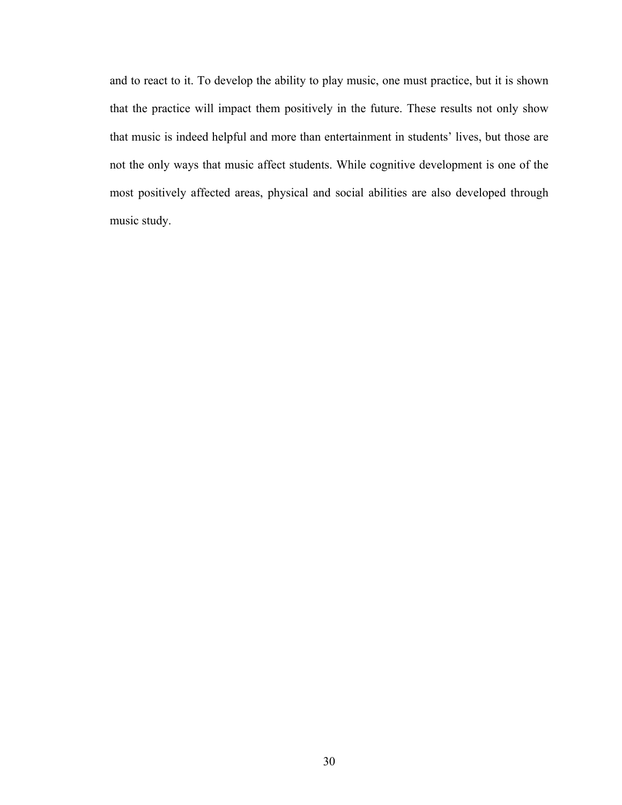and to react to it. To develop the ability to play music, one must practice, but it is shown that the practice will impact them positively in the future. These results not only show that music is indeed helpful and more than entertainment in students' lives, but those are not the only ways that music affect students. While cognitive development is one of the most positively affected areas, physical and social abilities are also developed through music study.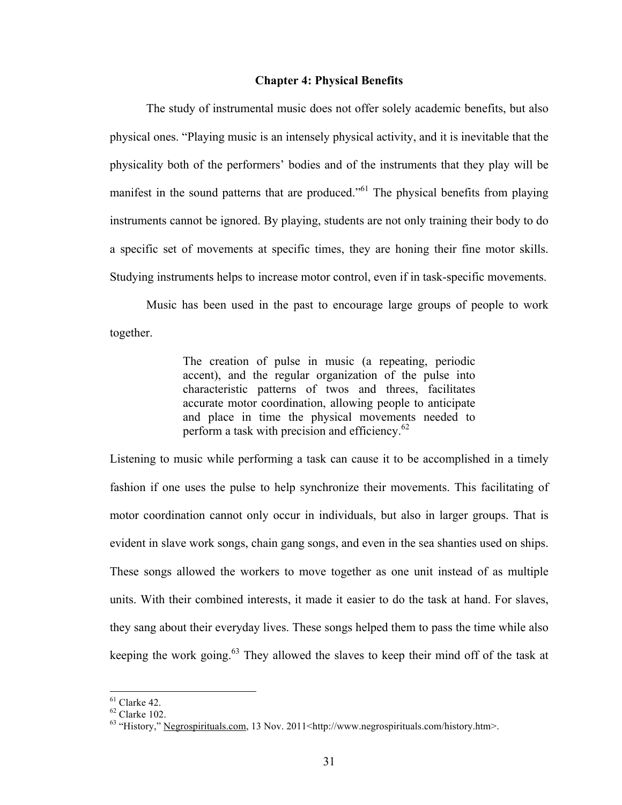#### **Chapter 4: Physical Benefits**

The study of instrumental music does not offer solely academic benefits, but also physical ones. "Playing music is an intensely physical activity, and it is inevitable that the physicality both of the performers' bodies and of the instruments that they play will be manifest in the sound patterns that are produced.<sup>561</sup> The physical benefits from playing instruments cannot be ignored. By playing, students are not only training their body to do a specific set of movements at specific times, they are honing their fine motor skills. Studying instruments helps to increase motor control, even if in task-specific movements.

Music has been used in the past to encourage large groups of people to work together.

> The creation of pulse in music (a repeating, periodic accent), and the regular organization of the pulse into characteristic patterns of twos and threes, facilitates accurate motor coordination, allowing people to anticipate and place in time the physical movements needed to perform a task with precision and efficiency. $62$

Listening to music while performing a task can cause it to be accomplished in a timely fashion if one uses the pulse to help synchronize their movements. This facilitating of motor coordination cannot only occur in individuals, but also in larger groups. That is evident in slave work songs, chain gang songs, and even in the sea shanties used on ships. These songs allowed the workers to move together as one unit instead of as multiple units. With their combined interests, it made it easier to do the task at hand. For slaves, they sang about their everyday lives. These songs helped them to pass the time while also keeping the work going. $63$  They allowed the slaves to keep their mind off of the task at

 $61$  Clarke 42.

 $62$  Clarke 102.

<sup>&</sup>lt;sup>63</sup> "History," Negrospirituals.com, 13 Nov. 2011<http://www.negrospirituals.com/history.htm>.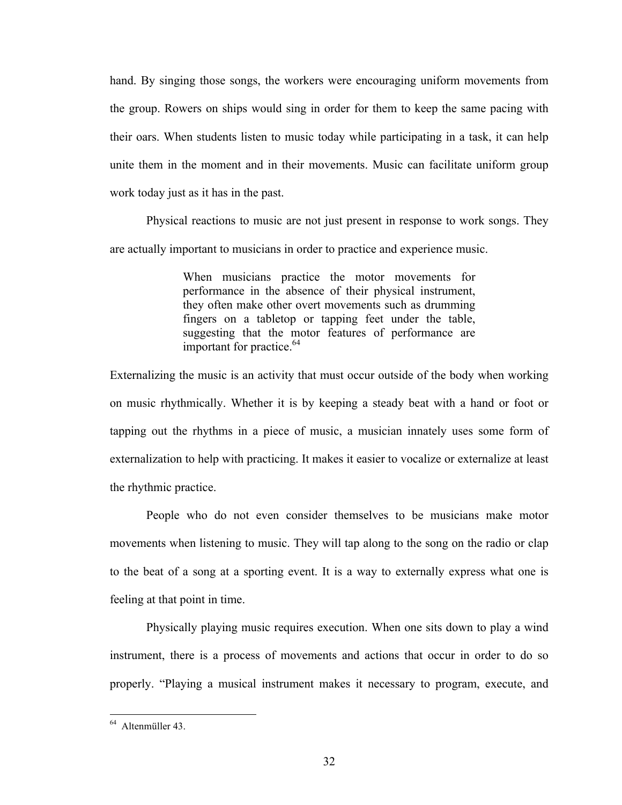hand. By singing those songs, the workers were encouraging uniform movements from the group. Rowers on ships would sing in order for them to keep the same pacing with their oars. When students listen to music today while participating in a task, it can help unite them in the moment and in their movements. Music can facilitate uniform group work today just as it has in the past.

Physical reactions to music are not just present in response to work songs. They are actually important to musicians in order to practice and experience music.

> When musicians practice the motor movements for performance in the absence of their physical instrument, they often make other overt movements such as drumming fingers on a tabletop or tapping feet under the table, suggesting that the motor features of performance are important for practice. $64$

Externalizing the music is an activity that must occur outside of the body when working on music rhythmically. Whether it is by keeping a steady beat with a hand or foot or tapping out the rhythms in a piece of music, a musician innately uses some form of externalization to help with practicing. It makes it easier to vocalize or externalize at least the rhythmic practice.

People who do not even consider themselves to be musicians make motor movements when listening to music. They will tap along to the song on the radio or clap to the beat of a song at a sporting event. It is a way to externally express what one is feeling at that point in time.

Physically playing music requires execution. When one sits down to play a wind instrument, there is a process of movements and actions that occur in order to do so properly. "Playing a musical instrument makes it necessary to program, execute, and

 $64$  Altenmüller 43.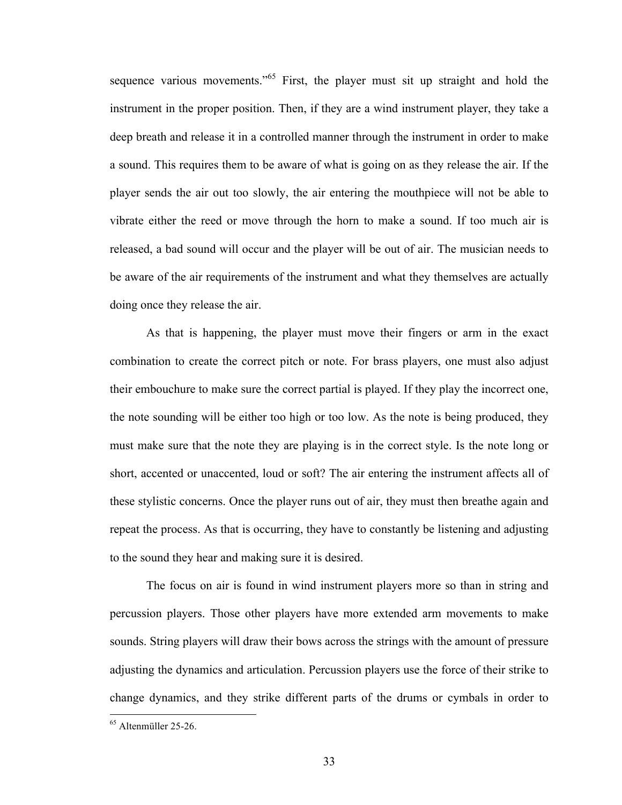sequence various movements."<sup>65</sup> First, the player must sit up straight and hold the instrument in the proper position. Then, if they are a wind instrument player, they take a deep breath and release it in a controlled manner through the instrument in order to make a sound. This requires them to be aware of what is going on as they release the air. If the player sends the air out too slowly, the air entering the mouthpiece will not be able to vibrate either the reed or move through the horn to make a sound. If too much air is released, a bad sound will occur and the player will be out of air. The musician needs to be aware of the air requirements of the instrument and what they themselves are actually doing once they release the air.

As that is happening, the player must move their fingers or arm in the exact combination to create the correct pitch or note. For brass players, one must also adjust their embouchure to make sure the correct partial is played. If they play the incorrect one, the note sounding will be either too high or too low. As the note is being produced, they must make sure that the note they are playing is in the correct style. Is the note long or short, accented or unaccented, loud or soft? The air entering the instrument affects all of these stylistic concerns. Once the player runs out of air, they must then breathe again and repeat the process. As that is occurring, they have to constantly be listening and adjusting to the sound they hear and making sure it is desired.

The focus on air is found in wind instrument players more so than in string and percussion players. Those other players have more extended arm movements to make sounds. String players will draw their bows across the strings with the amount of pressure adjusting the dynamics and articulation. Percussion players use the force of their strike to change dynamics, and they strike different parts of the drums or cymbals in order to

 $<sup>65</sup>$  Altenmüller 25-26</sup>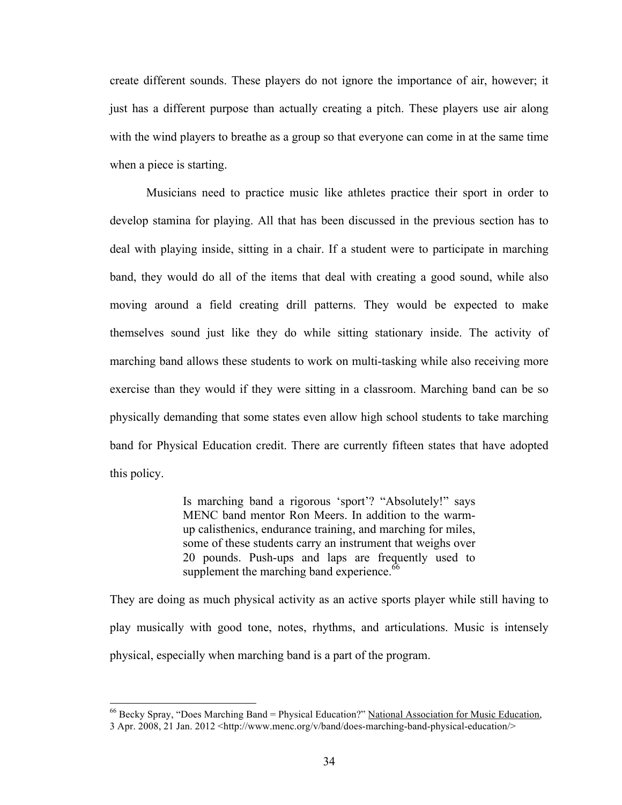create different sounds. These players do not ignore the importance of air, however; it just has a different purpose than actually creating a pitch. These players use air along with the wind players to breathe as a group so that everyone can come in at the same time when a piece is starting.

Musicians need to practice music like athletes practice their sport in order to develop stamina for playing. All that has been discussed in the previous section has to deal with playing inside, sitting in a chair. If a student were to participate in marching band, they would do all of the items that deal with creating a good sound, while also moving around a field creating drill patterns. They would be expected to make themselves sound just like they do while sitting stationary inside. The activity of marching band allows these students to work on multi-tasking while also receiving more exercise than they would if they were sitting in a classroom. Marching band can be so physically demanding that some states even allow high school students to take marching band for Physical Education credit. There are currently fifteen states that have adopted this policy.

> Is marching band a rigorous 'sport'? "Absolutely!" says MENC band mentor Ron Meers. In addition to the warmup calisthenics, endurance training, and marching for miles, some of these students carry an instrument that weighs over 20 pounds. Push-ups and laps are frequently used to supplement the marching band experience.<sup>66</sup>

They are doing as much physical activity as an active sports player while still having to play musically with good tone, notes, rhythms, and articulations. Music is intensely physical, especially when marching band is a part of the program.

<sup>&</sup>lt;sup>66</sup> Becky Spray, "Does Marching Band = Physical Education?" National Association for Music Education, 3 Apr. 2008, 21 Jan. 2012 <http://www.menc.org/v/band/does-marching-band-physical-education/>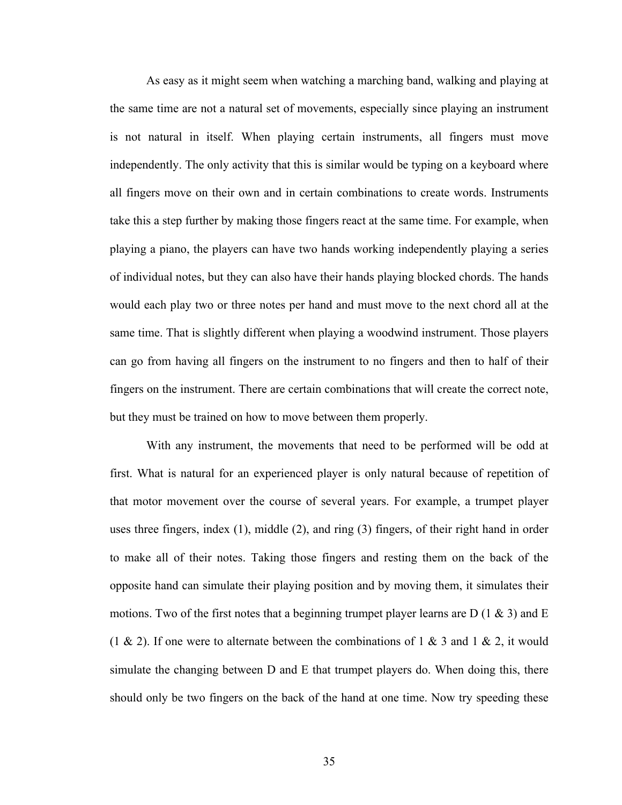As easy as it might seem when watching a marching band, walking and playing at the same time are not a natural set of movements, especially since playing an instrument is not natural in itself. When playing certain instruments, all fingers must move independently. The only activity that this is similar would be typing on a keyboard where all fingers move on their own and in certain combinations to create words. Instruments take this a step further by making those fingers react at the same time. For example, when playing a piano, the players can have two hands working independently playing a series of individual notes, but they can also have their hands playing blocked chords. The hands would each play two or three notes per hand and must move to the next chord all at the same time. That is slightly different when playing a woodwind instrument. Those players can go from having all fingers on the instrument to no fingers and then to half of their fingers on the instrument. There are certain combinations that will create the correct note, but they must be trained on how to move between them properly.

With any instrument, the movements that need to be performed will be odd at first. What is natural for an experienced player is only natural because of repetition of that motor movement over the course of several years. For example, a trumpet player uses three fingers, index (1), middle (2), and ring (3) fingers, of their right hand in order to make all of their notes. Taking those fingers and resting them on the back of the opposite hand can simulate their playing position and by moving them, it simulates their motions. Two of the first notes that a beginning trumpet player learns are D (1 & 3) and E (1 & 2). If one were to alternate between the combinations of 1 & 3 and 1 & 2, it would simulate the changing between D and E that trumpet players do. When doing this, there should only be two fingers on the back of the hand at one time. Now try speeding these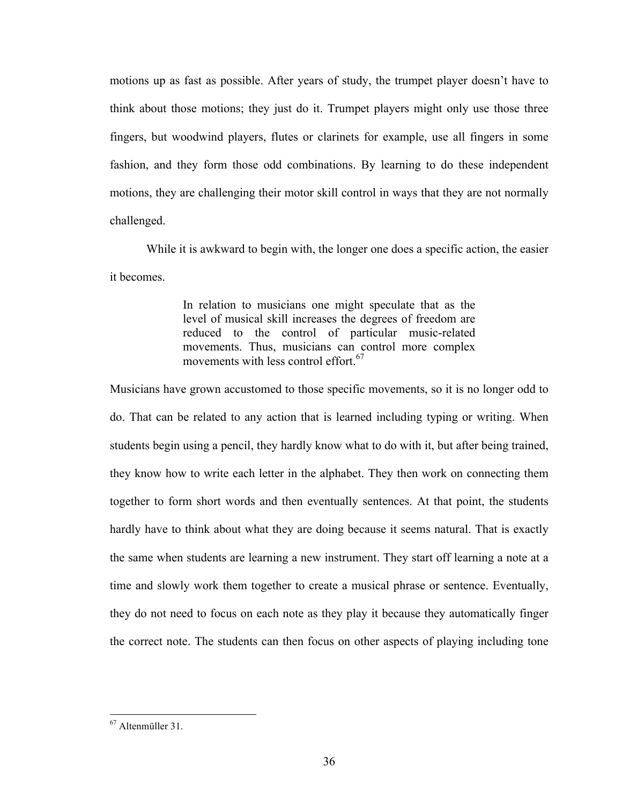motions up as fast as possible. After years of study, the trumpet player doesn't have to think about those motions; they just do it. Trumpet players might only use those three fingers, but woodwind players, flutes or clarinets for example, use all fingers in some fashion, and they form those odd combinations. By learning to do these independent motions, they are challenging their motor skill control in ways that they are not normally challenged.

While it is awkward to begin with, the longer one does a specific action, the easier it becomes.

> In relation to musicians one might speculate that as the level of musical skill increases the degrees of freedom are reduced to the control of particular music-related movements. Thus, musicians can control more complex movements with less control effort. $67$

Musicians have grown accustomed to those specific movements, so it is no longer odd to do. That can be related to any action that is learned including typing or writing. When students begin using a pencil, they hardly know what to do with it, but after being trained, they know how to write each letter in the alphabet. They then work on connecting them together to form short words and then eventually sentences. At that point, the students hardly have to think about what they are doing because it seems natural. That is exactly the same when students are learning a new instrument. They start off learning a note at a time and slowly work them together to create a musical phrase or sentence. Eventually, they do not need to focus on each note as they play it because they automatically finger the correct note. The students can then focus on other aspects of playing including tone

 $167$  Altenmüller 31.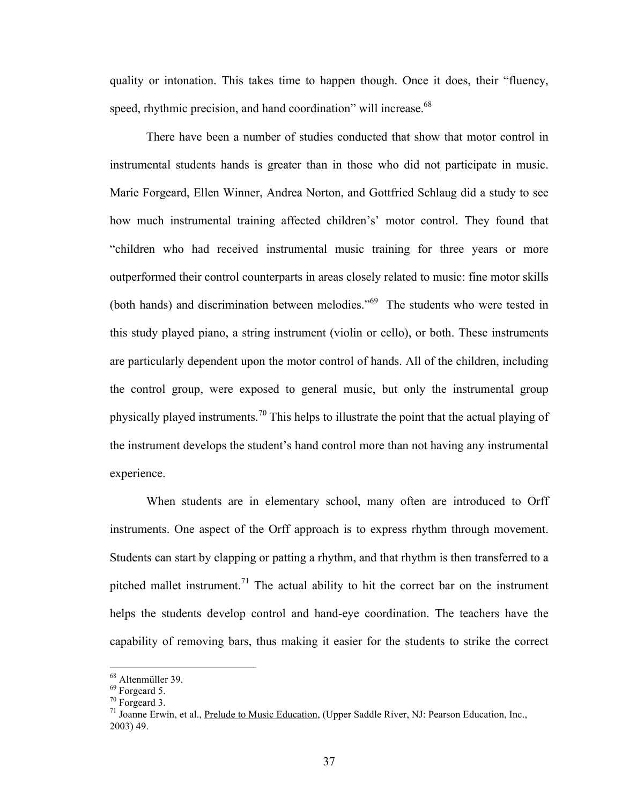quality or intonation. This takes time to happen though. Once it does, their "fluency, speed, rhythmic precision, and hand coordination" will increase.<sup>68</sup>

There have been a number of studies conducted that show that motor control in instrumental students hands is greater than in those who did not participate in music. Marie Forgeard, Ellen Winner, Andrea Norton, and Gottfried Schlaug did a study to see how much instrumental training affected children's' motor control. They found that "children who had received instrumental music training for three years or more outperformed their control counterparts in areas closely related to music: fine motor skills (both hands) and discrimination between melodies.<sup> $10^{69}$ </sup> The students who were tested in this study played piano, a string instrument (violin or cello), or both. These instruments are particularly dependent upon the motor control of hands. All of the children, including the control group, were exposed to general music, but only the instrumental group physically played instruments.<sup>70</sup> This helps to illustrate the point that the actual playing of the instrument develops the student's hand control more than not having any instrumental experience.

When students are in elementary school, many often are introduced to Orff instruments. One aspect of the Orff approach is to express rhythm through movement. Students can start by clapping or patting a rhythm, and that rhythm is then transferred to a pitched mallet instrument.<sup>71</sup> The actual ability to hit the correct bar on the instrument helps the students develop control and hand-eye coordination. The teachers have the capability of removing bars, thus making it easier for the students to strike the correct

<sup>&</sup>lt;sup>68</sup> Altenmüller 39.

<sup>69</sup> Forgeard 5.

<sup>70</sup> Forgeard 3.

<sup>&</sup>lt;sup>71</sup> Joanne Erwin, et al., Prelude to Music Education, (Upper Saddle River, NJ: Pearson Education, Inc., 2003) 49.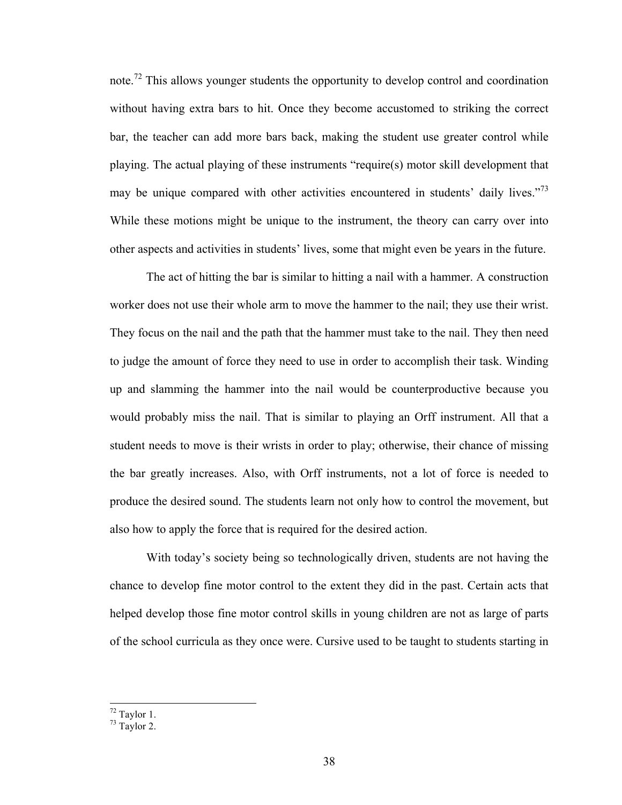note.<sup>72</sup> This allows younger students the opportunity to develop control and coordination without having extra bars to hit. Once they become accustomed to striking the correct bar, the teacher can add more bars back, making the student use greater control while playing. The actual playing of these instruments "require(s) motor skill development that may be unique compared with other activities encountered in students' daily lives."<sup>73</sup> While these motions might be unique to the instrument, the theory can carry over into other aspects and activities in students' lives, some that might even be years in the future.

The act of hitting the bar is similar to hitting a nail with a hammer. A construction worker does not use their whole arm to move the hammer to the nail; they use their wrist. They focus on the nail and the path that the hammer must take to the nail. They then need to judge the amount of force they need to use in order to accomplish their task. Winding up and slamming the hammer into the nail would be counterproductive because you would probably miss the nail. That is similar to playing an Orff instrument. All that a student needs to move is their wrists in order to play; otherwise, their chance of missing the bar greatly increases. Also, with Orff instruments, not a lot of force is needed to produce the desired sound. The students learn not only how to control the movement, but also how to apply the force that is required for the desired action.

With today's society being so technologically driven, students are not having the chance to develop fine motor control to the extent they did in the past. Certain acts that helped develop those fine motor control skills in young children are not as large of parts of the school curricula as they once were. Cursive used to be taught to students starting in

 $72$  Taylor 1.

 $73$  Taylor 2.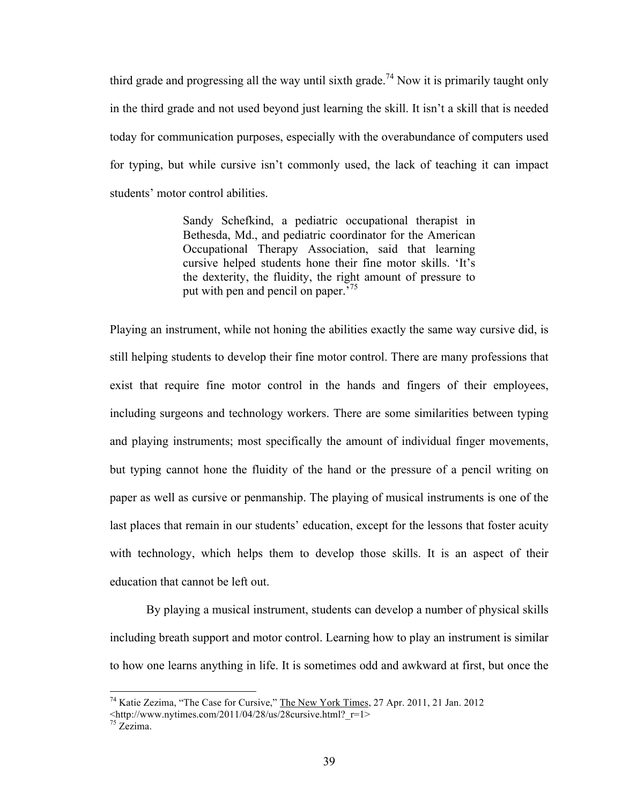third grade and progressing all the way until sixth grade.<sup>74</sup> Now it is primarily taught only in the third grade and not used beyond just learning the skill. It isn't a skill that is needed today for communication purposes, especially with the overabundance of computers used for typing, but while cursive isn't commonly used, the lack of teaching it can impact students' motor control abilities.

> Sandy Schefkind, a pediatric occupational therapist in Bethesda, Md., and pediatric coordinator for the American Occupational Therapy Association, said that learning cursive helped students hone their fine motor skills. 'It's the dexterity, the fluidity, the right amount of pressure to put with pen and pencil on paper.<sup>75</sup>

Playing an instrument, while not honing the abilities exactly the same way cursive did, is still helping students to develop their fine motor control. There are many professions that exist that require fine motor control in the hands and fingers of their employees, including surgeons and technology workers. There are some similarities between typing and playing instruments; most specifically the amount of individual finger movements, but typing cannot hone the fluidity of the hand or the pressure of a pencil writing on paper as well as cursive or penmanship. The playing of musical instruments is one of the last places that remain in our students' education, except for the lessons that foster acuity with technology, which helps them to develop those skills. It is an aspect of their education that cannot be left out.

By playing a musical instrument, students can develop a number of physical skills including breath support and motor control. Learning how to play an instrument is similar to how one learns anything in life. It is sometimes odd and awkward at first, but once the

<sup>&</sup>lt;sup>74</sup> Katie Zezima, "The Case for Cursive," The New York Times, 27 Apr. 2011, 21 Jan. 2012

<sup>&</sup>lt;http://www.nytimes.com/2011/04/28/us/28cursive.html?\_r=1>

<sup>75</sup> Zezima.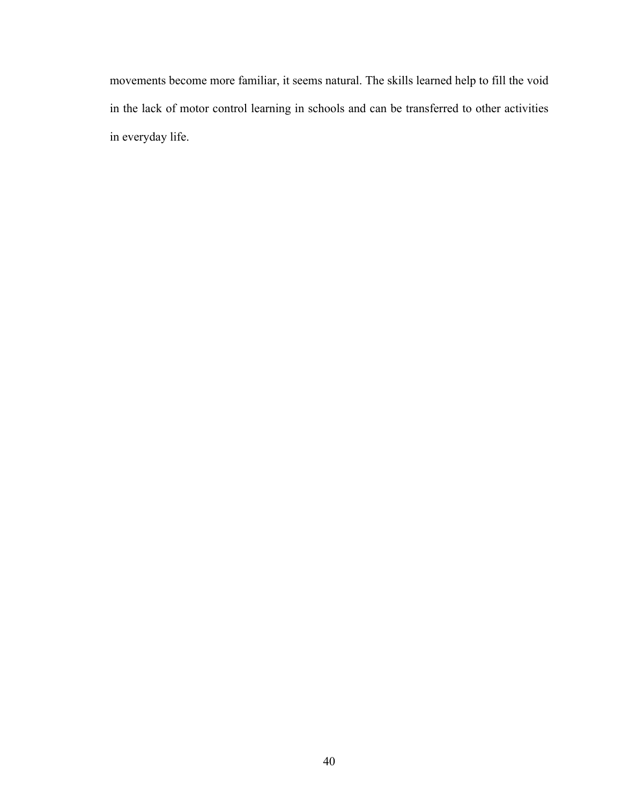movements become more familiar, it seems natural. The skills learned help to fill the void in the lack of motor control learning in schools and can be transferred to other activities in everyday life.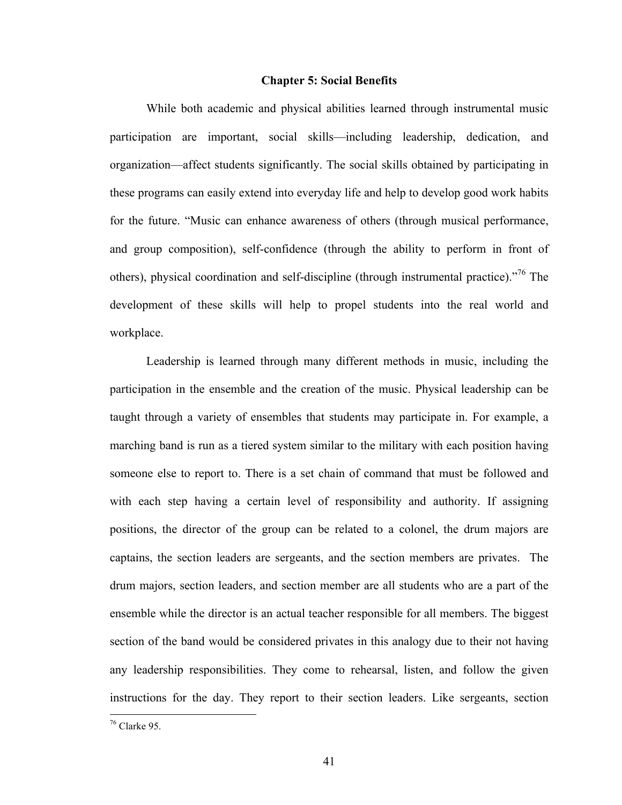#### **Chapter 5: Social Benefits**

While both academic and physical abilities learned through instrumental music participation are important, social skills—including leadership, dedication, and organization—affect students significantly. The social skills obtained by participating in these programs can easily extend into everyday life and help to develop good work habits for the future. "Music can enhance awareness of others (through musical performance, and group composition), self-confidence (through the ability to perform in front of others), physical coordination and self-discipline (through instrumental practice)."76 The development of these skills will help to propel students into the real world and workplace.

Leadership is learned through many different methods in music, including the participation in the ensemble and the creation of the music. Physical leadership can be taught through a variety of ensembles that students may participate in. For example, a marching band is run as a tiered system similar to the military with each position having someone else to report to. There is a set chain of command that must be followed and with each step having a certain level of responsibility and authority. If assigning positions, the director of the group can be related to a colonel, the drum majors are captains, the section leaders are sergeants, and the section members are privates. The drum majors, section leaders, and section member are all students who are a part of the ensemble while the director is an actual teacher responsible for all members. The biggest section of the band would be considered privates in this analogy due to their not having any leadership responsibilities. They come to rehearsal, listen, and follow the given instructions for the day. They report to their section leaders. Like sergeants, section

 $16$  Clarke 95.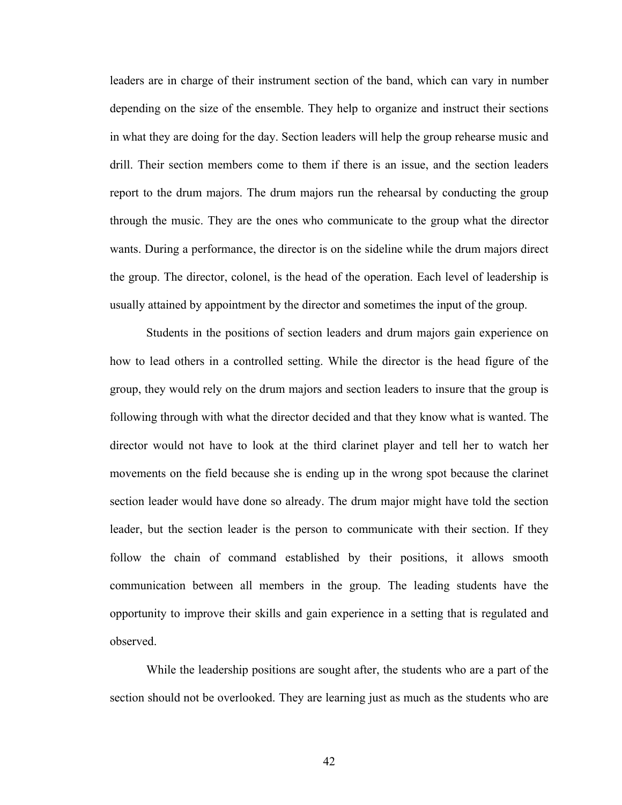leaders are in charge of their instrument section of the band, which can vary in number depending on the size of the ensemble. They help to organize and instruct their sections in what they are doing for the day. Section leaders will help the group rehearse music and drill. Their section members come to them if there is an issue, and the section leaders report to the drum majors. The drum majors run the rehearsal by conducting the group through the music. They are the ones who communicate to the group what the director wants. During a performance, the director is on the sideline while the drum majors direct the group. The director, colonel, is the head of the operation. Each level of leadership is usually attained by appointment by the director and sometimes the input of the group.

Students in the positions of section leaders and drum majors gain experience on how to lead others in a controlled setting. While the director is the head figure of the group, they would rely on the drum majors and section leaders to insure that the group is following through with what the director decided and that they know what is wanted. The director would not have to look at the third clarinet player and tell her to watch her movements on the field because she is ending up in the wrong spot because the clarinet section leader would have done so already. The drum major might have told the section leader, but the section leader is the person to communicate with their section. If they follow the chain of command established by their positions, it allows smooth communication between all members in the group. The leading students have the opportunity to improve their skills and gain experience in a setting that is regulated and observed.

While the leadership positions are sought after, the students who are a part of the section should not be overlooked. They are learning just as much as the students who are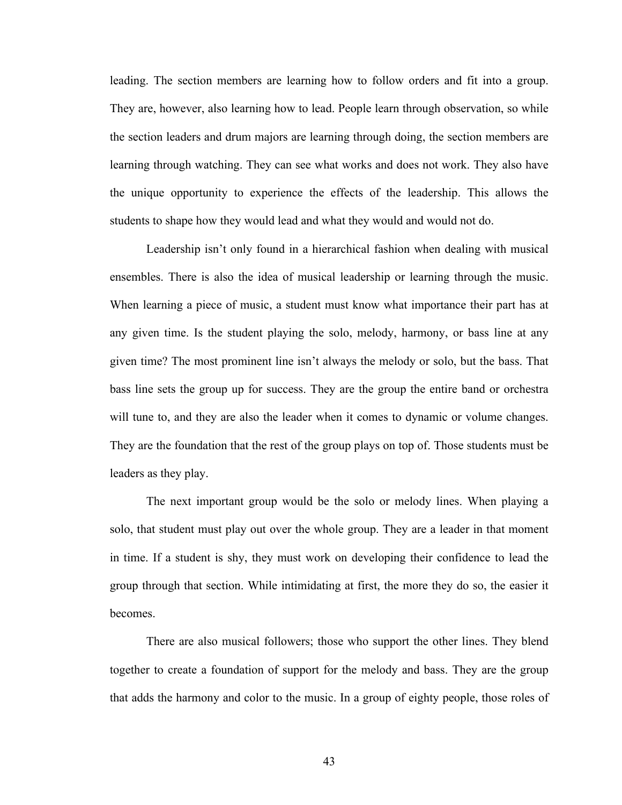leading. The section members are learning how to follow orders and fit into a group. They are, however, also learning how to lead. People learn through observation, so while the section leaders and drum majors are learning through doing, the section members are learning through watching. They can see what works and does not work. They also have the unique opportunity to experience the effects of the leadership. This allows the students to shape how they would lead and what they would and would not do.

Leadership isn't only found in a hierarchical fashion when dealing with musical ensembles. There is also the idea of musical leadership or learning through the music. When learning a piece of music, a student must know what importance their part has at any given time. Is the student playing the solo, melody, harmony, or bass line at any given time? The most prominent line isn't always the melody or solo, but the bass. That bass line sets the group up for success. They are the group the entire band or orchestra will tune to, and they are also the leader when it comes to dynamic or volume changes. They are the foundation that the rest of the group plays on top of. Those students must be leaders as they play.

The next important group would be the solo or melody lines. When playing a solo, that student must play out over the whole group. They are a leader in that moment in time. If a student is shy, they must work on developing their confidence to lead the group through that section. While intimidating at first, the more they do so, the easier it becomes.

There are also musical followers; those who support the other lines. They blend together to create a foundation of support for the melody and bass. They are the group that adds the harmony and color to the music. In a group of eighty people, those roles of

43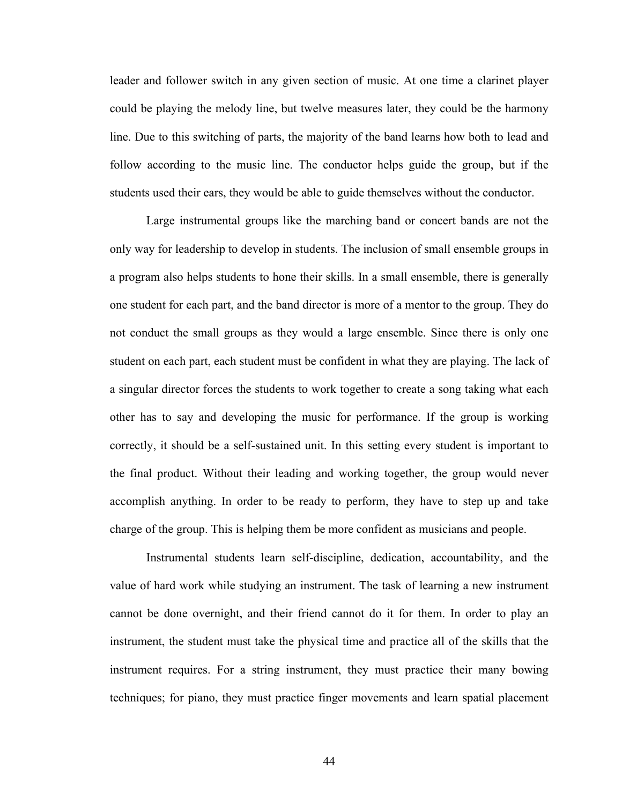leader and follower switch in any given section of music. At one time a clarinet player could be playing the melody line, but twelve measures later, they could be the harmony line. Due to this switching of parts, the majority of the band learns how both to lead and follow according to the music line. The conductor helps guide the group, but if the students used their ears, they would be able to guide themselves without the conductor.

Large instrumental groups like the marching band or concert bands are not the only way for leadership to develop in students. The inclusion of small ensemble groups in a program also helps students to hone their skills. In a small ensemble, there is generally one student for each part, and the band director is more of a mentor to the group. They do not conduct the small groups as they would a large ensemble. Since there is only one student on each part, each student must be confident in what they are playing. The lack of a singular director forces the students to work together to create a song taking what each other has to say and developing the music for performance. If the group is working correctly, it should be a self-sustained unit. In this setting every student is important to the final product. Without their leading and working together, the group would never accomplish anything. In order to be ready to perform, they have to step up and take charge of the group. This is helping them be more confident as musicians and people.

Instrumental students learn self-discipline, dedication, accountability, and the value of hard work while studying an instrument. The task of learning a new instrument cannot be done overnight, and their friend cannot do it for them. In order to play an instrument, the student must take the physical time and practice all of the skills that the instrument requires. For a string instrument, they must practice their many bowing techniques; for piano, they must practice finger movements and learn spatial placement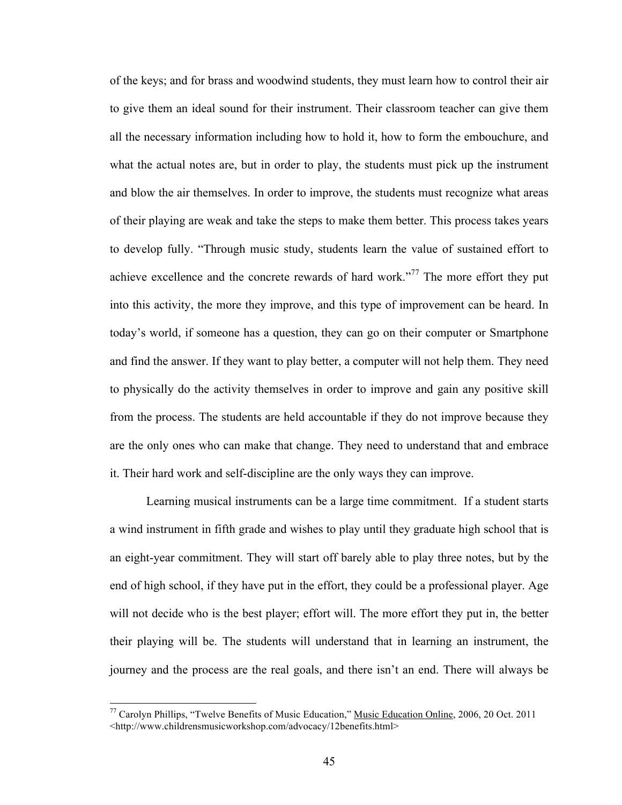of the keys; and for brass and woodwind students, they must learn how to control their air to give them an ideal sound for their instrument. Their classroom teacher can give them all the necessary information including how to hold it, how to form the embouchure, and what the actual notes are, but in order to play, the students must pick up the instrument and blow the air themselves. In order to improve, the students must recognize what areas of their playing are weak and take the steps to make them better. This process takes years to develop fully. "Through music study, students learn the value of sustained effort to achieve excellence and the concrete rewards of hard work."<sup>77</sup> The more effort they put into this activity, the more they improve, and this type of improvement can be heard. In today's world, if someone has a question, they can go on their computer or Smartphone and find the answer. If they want to play better, a computer will not help them. They need to physically do the activity themselves in order to improve and gain any positive skill from the process. The students are held accountable if they do not improve because they are the only ones who can make that change. They need to understand that and embrace it. Their hard work and self-discipline are the only ways they can improve.

Learning musical instruments can be a large time commitment. If a student starts a wind instrument in fifth grade and wishes to play until they graduate high school that is an eight-year commitment. They will start off barely able to play three notes, but by the end of high school, if they have put in the effort, they could be a professional player. Age will not decide who is the best player; effort will. The more effort they put in, the better their playing will be. The students will understand that in learning an instrument, the journey and the process are the real goals, and there isn't an end. There will always be

<sup>&</sup>lt;sup>77</sup> Carolyn Phillips, "Twelve Benefits of Music Education," Music Education Online, 2006, 20 Oct. 2011 <http://www.childrensmusicworkshop.com/advocacy/12benefits.html>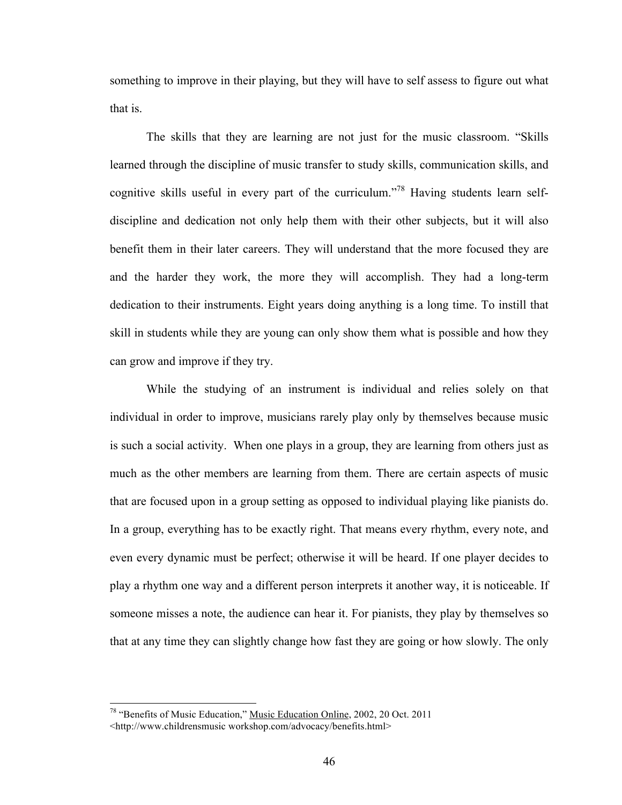something to improve in their playing, but they will have to self assess to figure out what that is.

The skills that they are learning are not just for the music classroom. "Skills learned through the discipline of music transfer to study skills, communication skills, and cognitive skills useful in every part of the curriculum.<sup> $38$ </sup> Having students learn selfdiscipline and dedication not only help them with their other subjects, but it will also benefit them in their later careers. They will understand that the more focused they are and the harder they work, the more they will accomplish. They had a long-term dedication to their instruments. Eight years doing anything is a long time. To instill that skill in students while they are young can only show them what is possible and how they can grow and improve if they try.

While the studying of an instrument is individual and relies solely on that individual in order to improve, musicians rarely play only by themselves because music is such a social activity. When one plays in a group, they are learning from others just as much as the other members are learning from them. There are certain aspects of music that are focused upon in a group setting as opposed to individual playing like pianists do. In a group, everything has to be exactly right. That means every rhythm, every note, and even every dynamic must be perfect; otherwise it will be heard. If one player decides to play a rhythm one way and a different person interprets it another way, it is noticeable. If someone misses a note, the audience can hear it. For pianists, they play by themselves so that at any time they can slightly change how fast they are going or how slowly. The only

<sup>&</sup>lt;sup>78</sup> "Benefits of Music Education," Music Education Online, 2002, 20 Oct. 2011 <http://www.childrensmusic workshop.com/advocacy/benefits.html>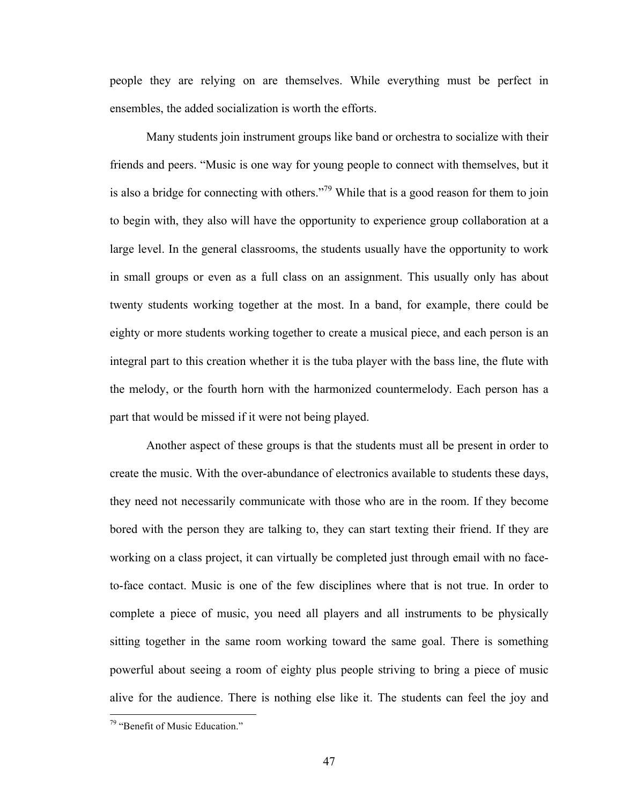people they are relying on are themselves. While everything must be perfect in ensembles, the added socialization is worth the efforts.

Many students join instrument groups like band or orchestra to socialize with their friends and peers. "Music is one way for young people to connect with themselves, but it is also a bridge for connecting with others."<sup>79</sup> While that is a good reason for them to join to begin with, they also will have the opportunity to experience group collaboration at a large level. In the general classrooms, the students usually have the opportunity to work in small groups or even as a full class on an assignment. This usually only has about twenty students working together at the most. In a band, for example, there could be eighty or more students working together to create a musical piece, and each person is an integral part to this creation whether it is the tuba player with the bass line, the flute with the melody, or the fourth horn with the harmonized countermelody. Each person has a part that would be missed if it were not being played.

Another aspect of these groups is that the students must all be present in order to create the music. With the over-abundance of electronics available to students these days, they need not necessarily communicate with those who are in the room. If they become bored with the person they are talking to, they can start texting their friend. If they are working on a class project, it can virtually be completed just through email with no faceto-face contact. Music is one of the few disciplines where that is not true. In order to complete a piece of music, you need all players and all instruments to be physically sitting together in the same room working toward the same goal. There is something powerful about seeing a room of eighty plus people striving to bring a piece of music alive for the audience. There is nothing else like it. The students can feel the joy and

 $19$  "Benefit of Music Education."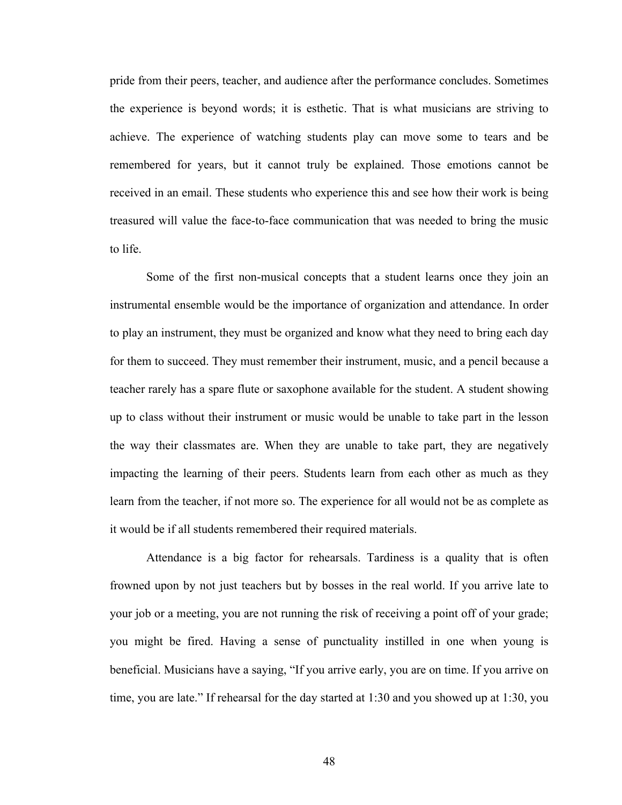pride from their peers, teacher, and audience after the performance concludes. Sometimes the experience is beyond words; it is esthetic. That is what musicians are striving to achieve. The experience of watching students play can move some to tears and be remembered for years, but it cannot truly be explained. Those emotions cannot be received in an email. These students who experience this and see how their work is being treasured will value the face-to-face communication that was needed to bring the music to life.

Some of the first non-musical concepts that a student learns once they join an instrumental ensemble would be the importance of organization and attendance. In order to play an instrument, they must be organized and know what they need to bring each day for them to succeed. They must remember their instrument, music, and a pencil because a teacher rarely has a spare flute or saxophone available for the student. A student showing up to class without their instrument or music would be unable to take part in the lesson the way their classmates are. When they are unable to take part, they are negatively impacting the learning of their peers. Students learn from each other as much as they learn from the teacher, if not more so. The experience for all would not be as complete as it would be if all students remembered their required materials.

Attendance is a big factor for rehearsals. Tardiness is a quality that is often frowned upon by not just teachers but by bosses in the real world. If you arrive late to your job or a meeting, you are not running the risk of receiving a point off of your grade; you might be fired. Having a sense of punctuality instilled in one when young is beneficial. Musicians have a saying, "If you arrive early, you are on time. If you arrive on time, you are late." If rehearsal for the day started at 1:30 and you showed up at 1:30, you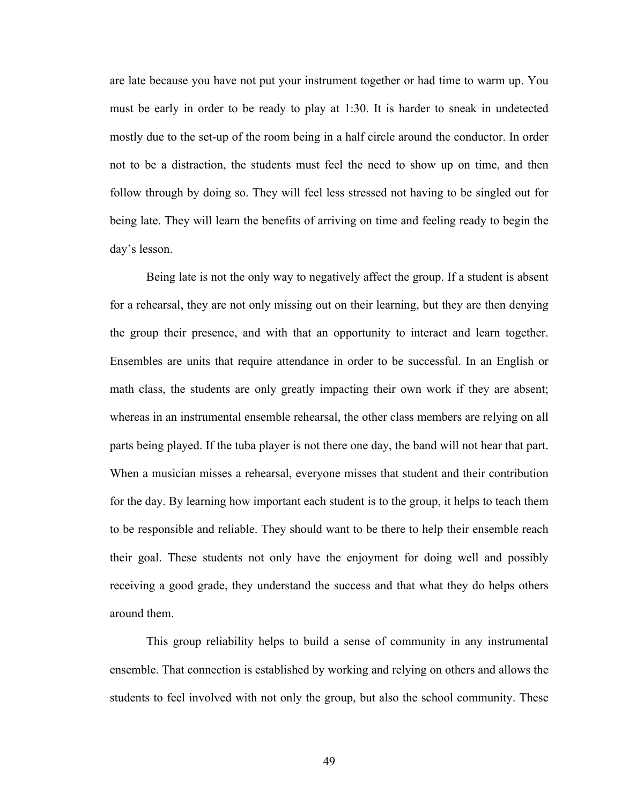are late because you have not put your instrument together or had time to warm up. You must be early in order to be ready to play at 1:30. It is harder to sneak in undetected mostly due to the set-up of the room being in a half circle around the conductor. In order not to be a distraction, the students must feel the need to show up on time, and then follow through by doing so. They will feel less stressed not having to be singled out for being late. They will learn the benefits of arriving on time and feeling ready to begin the day's lesson.

Being late is not the only way to negatively affect the group. If a student is absent for a rehearsal, they are not only missing out on their learning, but they are then denying the group their presence, and with that an opportunity to interact and learn together. Ensembles are units that require attendance in order to be successful. In an English or math class, the students are only greatly impacting their own work if they are absent; whereas in an instrumental ensemble rehearsal, the other class members are relying on all parts being played. If the tuba player is not there one day, the band will not hear that part. When a musician misses a rehearsal, everyone misses that student and their contribution for the day. By learning how important each student is to the group, it helps to teach them to be responsible and reliable. They should want to be there to help their ensemble reach their goal. These students not only have the enjoyment for doing well and possibly receiving a good grade, they understand the success and that what they do helps others around them.

This group reliability helps to build a sense of community in any instrumental ensemble. That connection is established by working and relying on others and allows the students to feel involved with not only the group, but also the school community. These

49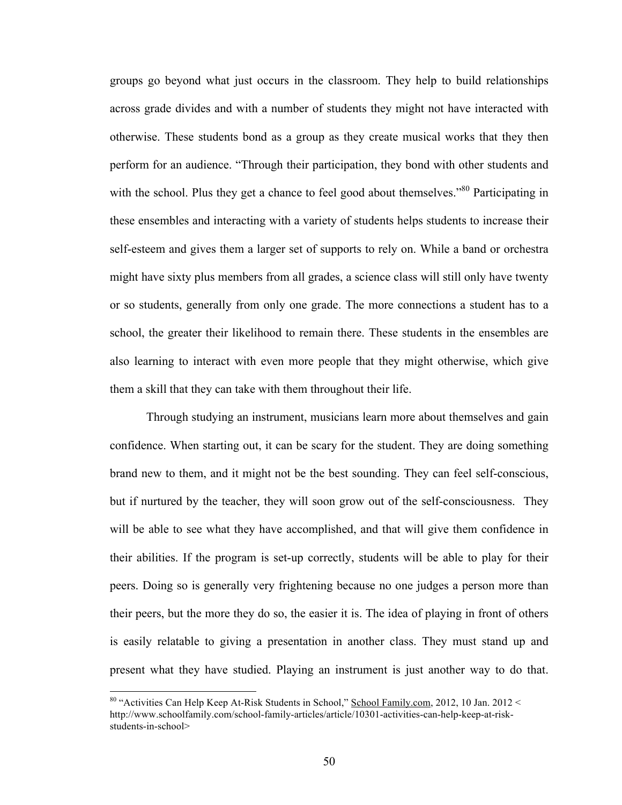groups go beyond what just occurs in the classroom. They help to build relationships across grade divides and with a number of students they might not have interacted with otherwise. These students bond as a group as they create musical works that they then perform for an audience. "Through their participation, they bond with other students and with the school. Plus they get a chance to feel good about themselves."<sup>80</sup> Participating in these ensembles and interacting with a variety of students helps students to increase their self-esteem and gives them a larger set of supports to rely on. While a band or orchestra might have sixty plus members from all grades, a science class will still only have twenty or so students, generally from only one grade. The more connections a student has to a school, the greater their likelihood to remain there. These students in the ensembles are also learning to interact with even more people that they might otherwise, which give them a skill that they can take with them throughout their life.

Through studying an instrument, musicians learn more about themselves and gain confidence. When starting out, it can be scary for the student. They are doing something brand new to them, and it might not be the best sounding. They can feel self-conscious, but if nurtured by the teacher, they will soon grow out of the self-consciousness. They will be able to see what they have accomplished, and that will give them confidence in their abilities. If the program is set-up correctly, students will be able to play for their peers. Doing so is generally very frightening because no one judges a person more than their peers, but the more they do so, the easier it is. The idea of playing in front of others is easily relatable to giving a presentation in another class. They must stand up and present what they have studied. Playing an instrument is just another way to do that.

<sup>&</sup>lt;sup>80</sup> "Activities Can Help Keep At-Risk Students in School," School Family.com, 2012, 10 Jan. 2012 < http://www.schoolfamily.com/school-family-articles/article/10301-activities-can-help-keep-at-riskstudents-in-school>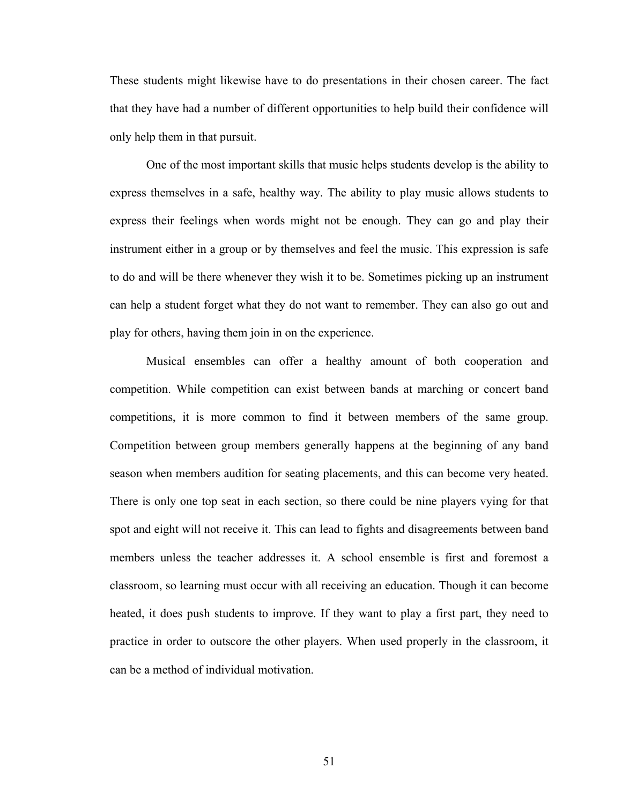These students might likewise have to do presentations in their chosen career. The fact that they have had a number of different opportunities to help build their confidence will only help them in that pursuit.

One of the most important skills that music helps students develop is the ability to express themselves in a safe, healthy way. The ability to play music allows students to express their feelings when words might not be enough. They can go and play their instrument either in a group or by themselves and feel the music. This expression is safe to do and will be there whenever they wish it to be. Sometimes picking up an instrument can help a student forget what they do not want to remember. They can also go out and play for others, having them join in on the experience.

Musical ensembles can offer a healthy amount of both cooperation and competition. While competition can exist between bands at marching or concert band competitions, it is more common to find it between members of the same group. Competition between group members generally happens at the beginning of any band season when members audition for seating placements, and this can become very heated. There is only one top seat in each section, so there could be nine players vying for that spot and eight will not receive it. This can lead to fights and disagreements between band members unless the teacher addresses it. A school ensemble is first and foremost a classroom, so learning must occur with all receiving an education. Though it can become heated, it does push students to improve. If they want to play a first part, they need to practice in order to outscore the other players. When used properly in the classroom, it can be a method of individual motivation.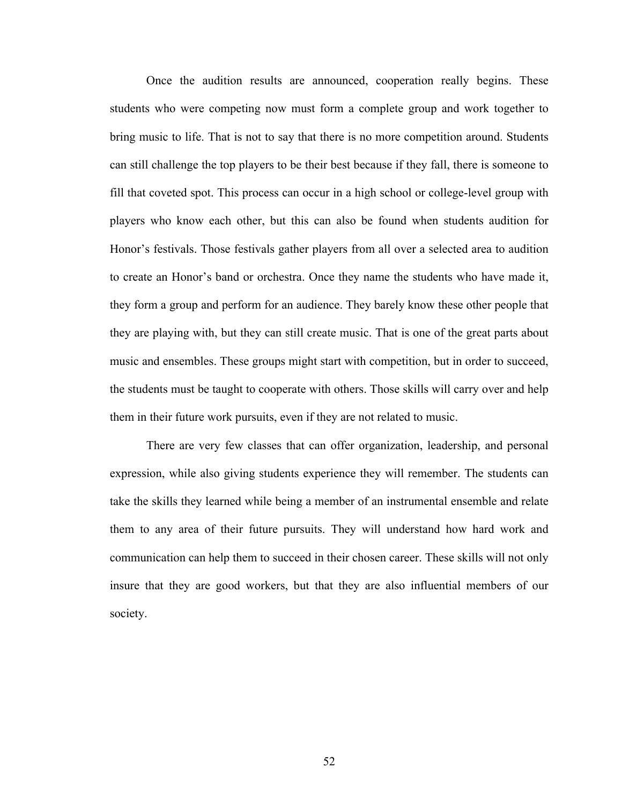Once the audition results are announced, cooperation really begins. These students who were competing now must form a complete group and work together to bring music to life. That is not to say that there is no more competition around. Students can still challenge the top players to be their best because if they fall, there is someone to fill that coveted spot. This process can occur in a high school or college-level group with players who know each other, but this can also be found when students audition for Honor's festivals. Those festivals gather players from all over a selected area to audition to create an Honor's band or orchestra. Once they name the students who have made it, they form a group and perform for an audience. They barely know these other people that they are playing with, but they can still create music. That is one of the great parts about music and ensembles. These groups might start with competition, but in order to succeed, the students must be taught to cooperate with others. Those skills will carry over and help them in their future work pursuits, even if they are not related to music.

There are very few classes that can offer organization, leadership, and personal expression, while also giving students experience they will remember. The students can take the skills they learned while being a member of an instrumental ensemble and relate them to any area of their future pursuits. They will understand how hard work and communication can help them to succeed in their chosen career. These skills will not only insure that they are good workers, but that they are also influential members of our society.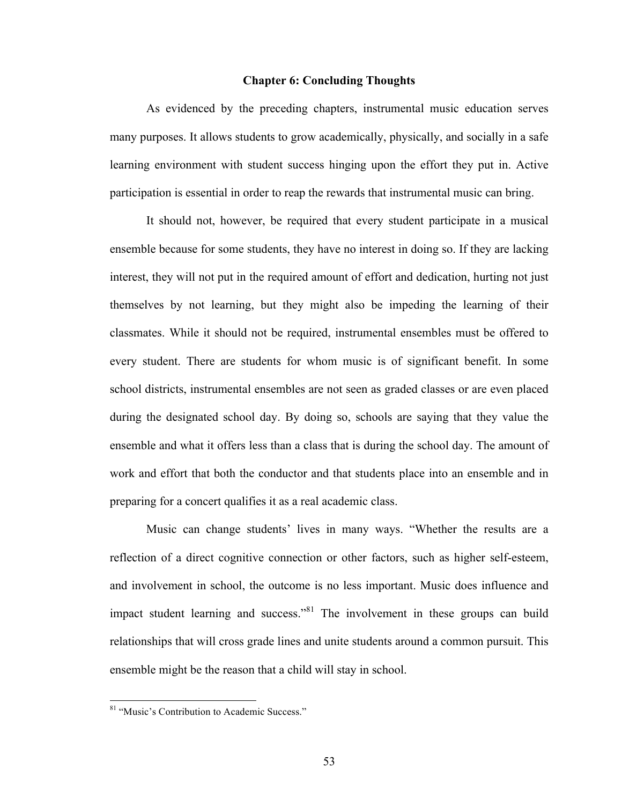#### **Chapter 6: Concluding Thoughts**

As evidenced by the preceding chapters, instrumental music education serves many purposes. It allows students to grow academically, physically, and socially in a safe learning environment with student success hinging upon the effort they put in. Active participation is essential in order to reap the rewards that instrumental music can bring.

It should not, however, be required that every student participate in a musical ensemble because for some students, they have no interest in doing so. If they are lacking interest, they will not put in the required amount of effort and dedication, hurting not just themselves by not learning, but they might also be impeding the learning of their classmates. While it should not be required, instrumental ensembles must be offered to every student. There are students for whom music is of significant benefit. In some school districts, instrumental ensembles are not seen as graded classes or are even placed during the designated school day. By doing so, schools are saying that they value the ensemble and what it offers less than a class that is during the school day. The amount of work and effort that both the conductor and that students place into an ensemble and in preparing for a concert qualifies it as a real academic class.

Music can change students' lives in many ways. "Whether the results are a reflection of a direct cognitive connection or other factors, such as higher self-esteem, and involvement in school, the outcome is no less important. Music does influence and impact student learning and success."<sup>81</sup> The involvement in these groups can build relationships that will cross grade lines and unite students around a common pursuit. This ensemble might be the reason that a child will stay in school.

<sup>&</sup>lt;sup>81</sup> "Music's Contribution to Academic Success."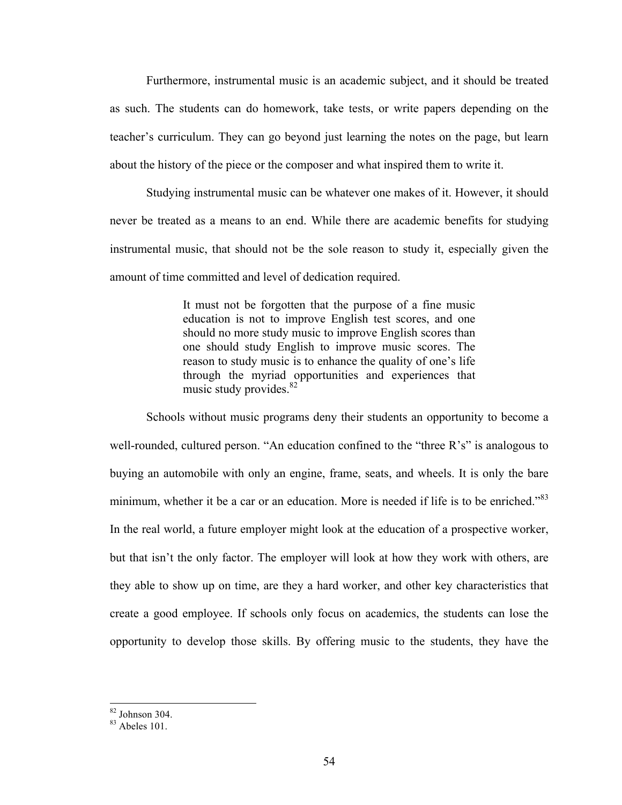Furthermore, instrumental music is an academic subject, and it should be treated as such. The students can do homework, take tests, or write papers depending on the teacher's curriculum. They can go beyond just learning the notes on the page, but learn about the history of the piece or the composer and what inspired them to write it.

Studying instrumental music can be whatever one makes of it. However, it should never be treated as a means to an end. While there are academic benefits for studying instrumental music, that should not be the sole reason to study it, especially given the amount of time committed and level of dedication required.

> It must not be forgotten that the purpose of a fine music education is not to improve English test scores, and one should no more study music to improve English scores than one should study English to improve music scores. The reason to study music is to enhance the quality of one's life through the myriad opportunities and experiences that music study provides.<sup>82</sup>

Schools without music programs deny their students an opportunity to become a well-rounded, cultured person. "An education confined to the "three R's" is analogous to buying an automobile with only an engine, frame, seats, and wheels. It is only the bare minimum, whether it be a car or an education. More is needed if life is to be enriched."<sup>83</sup> In the real world, a future employer might look at the education of a prospective worker, but that isn't the only factor. The employer will look at how they work with others, are they able to show up on time, are they a hard worker, and other key characteristics that create a good employee. If schools only focus on academics, the students can lose the opportunity to develop those skills. By offering music to the students, they have the

 $82$  Johnson 304.

 $83$  Abeles 101.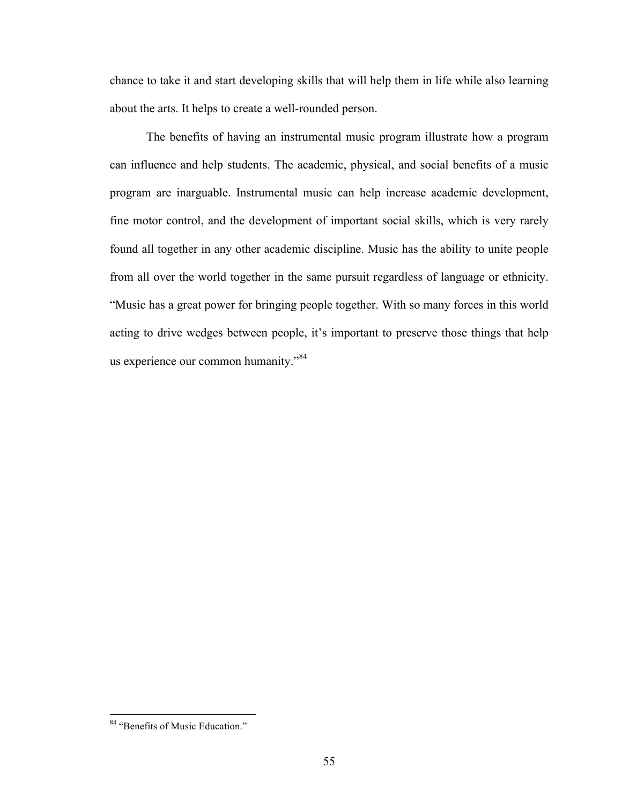chance to take it and start developing skills that will help them in life while also learning about the arts. It helps to create a well-rounded person.

The benefits of having an instrumental music program illustrate how a program can influence and help students. The academic, physical, and social benefits of a music program are inarguable. Instrumental music can help increase academic development, fine motor control, and the development of important social skills, which is very rarely found all together in any other academic discipline. Music has the ability to unite people from all over the world together in the same pursuit regardless of language or ethnicity. "Music has a great power for bringing people together. With so many forces in this world acting to drive wedges between people, it's important to preserve those things that help us experience our common humanity."<sup>84</sup>

<sup>84 &</sup>quot;Benefits of Music Education."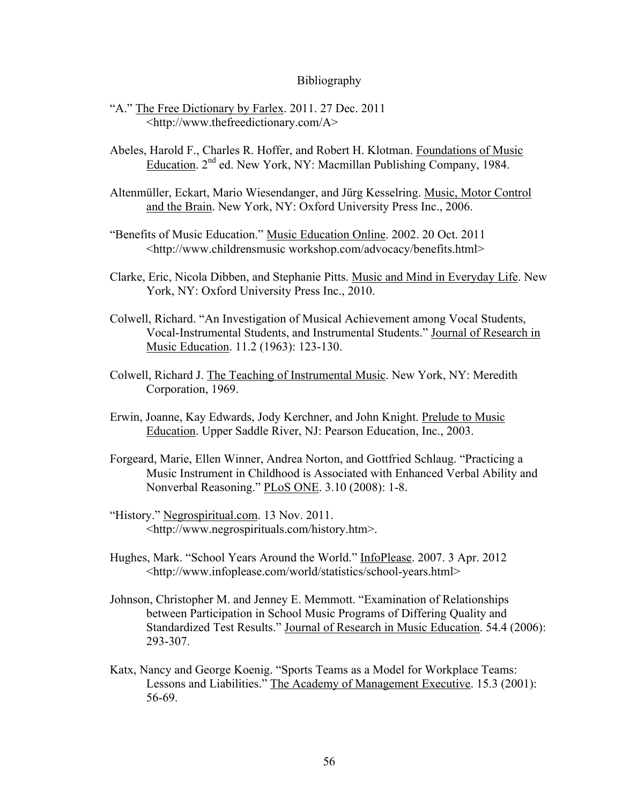#### Bibliography

- "A." The Free Dictionary by Farlex. 2011. 27 Dec. 2011 <http://www.thefreedictionary.com/A>
- Abeles, Harold F., Charles R. Hoffer, and Robert H. Klotman. Foundations of Music Education. 2nd ed. New York, NY: Macmillan Publishing Company, 1984.
- Altenmüller, Eckart, Mario Wiesendanger, and Jürg Kesselring. Music, Motor Control and the Brain. New York, NY: Oxford University Press Inc., 2006.
- "Benefits of Music Education." Music Education Online. 2002. 20 Oct. 2011 <http://www.childrensmusic workshop.com/advocacy/benefits.html>
- Clarke, Eric, Nicola Dibben, and Stephanie Pitts. Music and Mind in Everyday Life. New York, NY: Oxford University Press Inc., 2010.
- Colwell, Richard. "An Investigation of Musical Achievement among Vocal Students, Vocal-Instrumental Students, and Instrumental Students." Journal of Research in Music Education. 11.2 (1963): 123-130.
- Colwell, Richard J. The Teaching of Instrumental Music. New York, NY: Meredith Corporation, 1969.
- Erwin, Joanne, Kay Edwards, Jody Kerchner, and John Knight. Prelude to Music Education. Upper Saddle River, NJ: Pearson Education, Inc., 2003.
- Forgeard, Marie, Ellen Winner, Andrea Norton, and Gottfried Schlaug. "Practicing a Music Instrument in Childhood is Associated with Enhanced Verbal Ability and Nonverbal Reasoning." PLoS ONE. 3.10 (2008): 1-8.
- "History." Negrospiritual.com. 13 Nov. 2011. <http://www.negrospirituals.com/history.htm>.
- Hughes, Mark. "School Years Around the World." InfoPlease. 2007. 3 Apr. 2012 <http://www.infoplease.com/world/statistics/school-years.html>
- Johnson, Christopher M. and Jenney E. Memmott. "Examination of Relationships between Participation in School Music Programs of Differing Quality and Standardized Test Results." Journal of Research in Music Education. 54.4 (2006): 293-307.
- Katx, Nancy and George Koenig. "Sports Teams as a Model for Workplace Teams: Lessons and Liabilities." The Academy of Management Executive. 15.3 (2001): 56-69.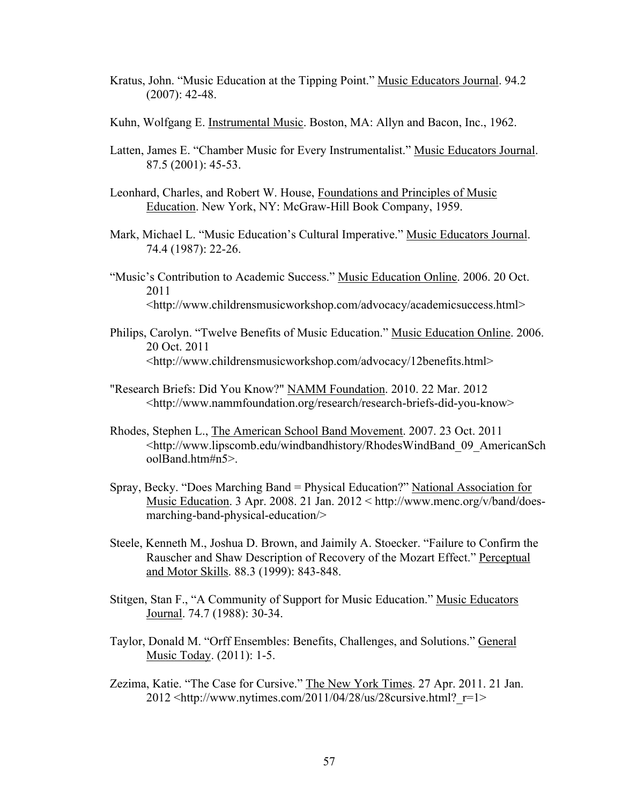- Kratus, John. "Music Education at the Tipping Point." Music Educators Journal. 94.2 (2007): 42-48.
- Kuhn, Wolfgang E. Instrumental Music. Boston, MA: Allyn and Bacon, Inc., 1962.
- Latten, James E. "Chamber Music for Every Instrumentalist." Music Educators Journal. 87.5 (2001): 45-53.
- Leonhard, Charles, and Robert W. House, Foundations and Principles of Music Education. New York, NY: McGraw-Hill Book Company, 1959.
- Mark, Michael L. "Music Education's Cultural Imperative." Music Educators Journal. 74.4 (1987): 22-26.
- "Music's Contribution to Academic Success." Music Education Online. 2006. 20 Oct. 2011 <http://www.childrensmusicworkshop.com/advocacy/academicsuccess.html>
- Philips, Carolyn. "Twelve Benefits of Music Education." Music Education Online. 2006. 20 Oct. 2011 <http://www.childrensmusicworkshop.com/advocacy/12benefits.html>
- "Research Briefs: Did You Know?" NAMM Foundation. 2010. 22 Mar. 2012 <http://www.nammfoundation.org/research/research-briefs-did-you-know>
- Rhodes, Stephen L., The American School Band Movement. 2007. 23 Oct. 2011 <http://www.lipscomb.edu/windbandhistory/RhodesWindBand\_09\_AmericanSch oolBand.htm#n5>.
- Spray, Becky. "Does Marching Band = Physical Education?" National Association for Music Education. 3 Apr. 2008. 21 Jan. 2012 < http://www.menc.org/v/band/doesmarching-band-physical-education/>
- Steele, Kenneth M., Joshua D. Brown, and Jaimily A. Stoecker. "Failure to Confirm the Rauscher and Shaw Description of Recovery of the Mozart Effect." Perceptual and Motor Skills. 88.3 (1999): 843-848.
- Stitgen, Stan F., "A Community of Support for Music Education." Music Educators Journal. 74.7 (1988): 30-34.
- Taylor, Donald M. "Orff Ensembles: Benefits, Challenges, and Solutions." General Music Today. (2011): 1-5.
- Zezima, Katie. "The Case for Cursive." The New York Times. 27 Apr. 2011. 21 Jan. 2012 <http://www.nytimes.com/2011/04/28/us/28cursive.html?\_r=1>